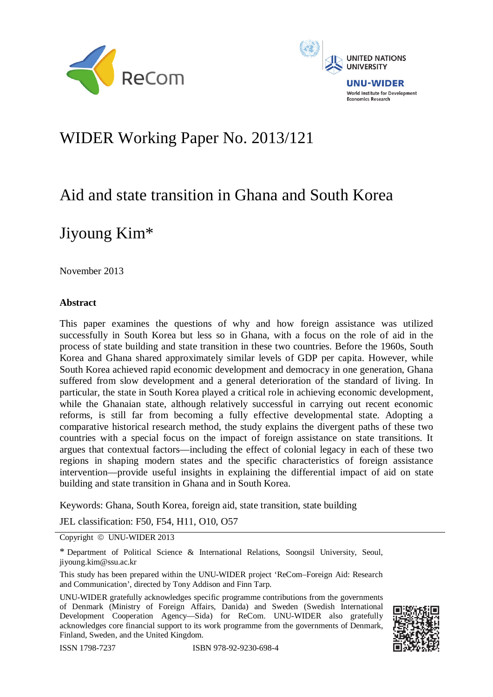



# WIDER Working Paper No. 2013/121

# Aid and state transition in Ghana and South Korea

# Jiyoung Kim\*

November 2013

## **Abstract**

This paper examines the questions of why and how foreign assistance was utilized successfully in South Korea but less so in Ghana, with a focus on the role of aid in the process of state building and state transition in these two countries. Before the 1960s, South Korea and Ghana shared approximately similar levels of GDP per capita. However, while South Korea achieved rapid economic development and democracy in one generation, Ghana suffered from slow development and a general deterioration of the standard of living. In particular, the state in South Korea played a critical role in achieving economic development, while the Ghanaian state, although relatively successful in carrying out recent economic reforms, is still far from becoming a fully effective developmental state. Adopting a comparative historical research method, the study explains the divergent paths of these two countries with a special focus on the impact of foreign assistance on state transitions. It argues that contextual factors—including the effect of colonial legacy in each of these two regions in shaping modern states and the specific characteristics of foreign assistance intervention—provide useful insights in explaining the differential impact of aid on state building and state transition in Ghana and in South Korea.

Keywords: Ghana, South Korea, foreign aid, state transition, state building

JEL classification: F50, F54, H11, O10, O57

Copyright © UNU-WIDER 2013

UNU-WIDER gratefully acknowledges specific programme contributions from the governments of Denmark (Ministry of Foreign Affairs, Danida) and Sweden (Swedish International Development Cooperation Agency—Sida) for ReCom. UNU-WIDER also gratefully acknowledges core financial support to its work programme from the governments of Denmark, Finland, Sweden, and the United Kingdom.





<sup>\*</sup> Department of Political Science & International Relations, Soongsil University, Seoul, jiyoung.kim@ssu.ac.kr

This study has been prepared within the UNU-WIDER project 'ReCom–Foreign Aid: Research and Communication', directed by Tony Addison and Finn Tarp.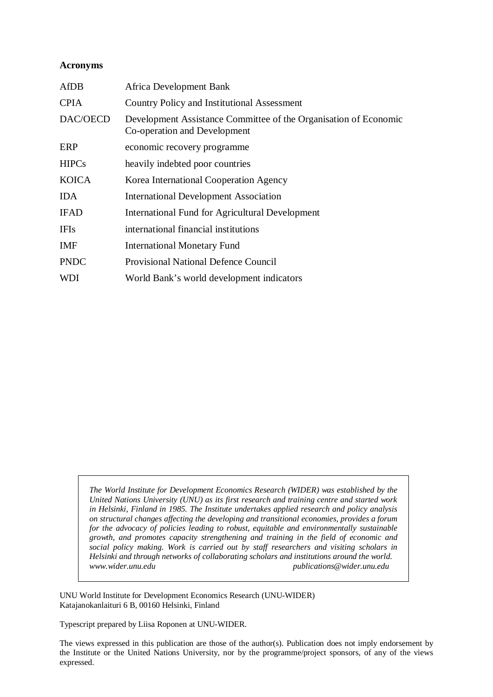#### **Acronyms**

| <b>AfDB</b>  | Africa Development Bank                                                                          |
|--------------|--------------------------------------------------------------------------------------------------|
| <b>CPIA</b>  | <b>Country Policy and Institutional Assessment</b>                                               |
| DAC/OECD     | Development Assistance Committee of the Organisation of Economic<br>Co-operation and Development |
| ERP          | economic recovery programme                                                                      |
| <b>HIPCs</b> | heavily indebted poor countries                                                                  |
| <b>KOICA</b> | Korea International Cooperation Agency                                                           |
| <b>IDA</b>   | <b>International Development Association</b>                                                     |
| <b>IFAD</b>  | <b>International Fund for Agricultural Development</b>                                           |
| <b>IFIs</b>  | international financial institutions                                                             |
| IMF          | <b>International Monetary Fund</b>                                                               |
| <b>PNDC</b>  | <b>Provisional National Defence Council</b>                                                      |
| WDI          | World Bank's world development indicators                                                        |

*The World Institute for Development Economics Research (WIDER) was established by the United Nations University (UNU) as its first research and training centre and started work in Helsinki, Finland in 1985. The Institute undertakes applied research and policy analysis on structural changes affecting the developing and transitional economies, provides a forum for the advocacy of policies leading to robust, equitable and environmentally sustainable growth, and promotes capacity strengthening and training in the field of economic and social policy making. Work is carried out by staff researchers and visiting scholars in Helsinki and through networks of collaborating scholars and institutions around the world. www.wider.unu.edu publications@wider.unu.edu* 

UNU World Institute for Development Economics Research (UNU-WIDER) Katajanokanlaituri 6 B, 00160 Helsinki, Finland

Typescript prepared by Liisa Roponen at UNU-WIDER.

The views expressed in this publication are those of the author(s). Publication does not imply endorsement by the Institute or the United Nations University, nor by the programme/project sponsors, of any of the views expressed.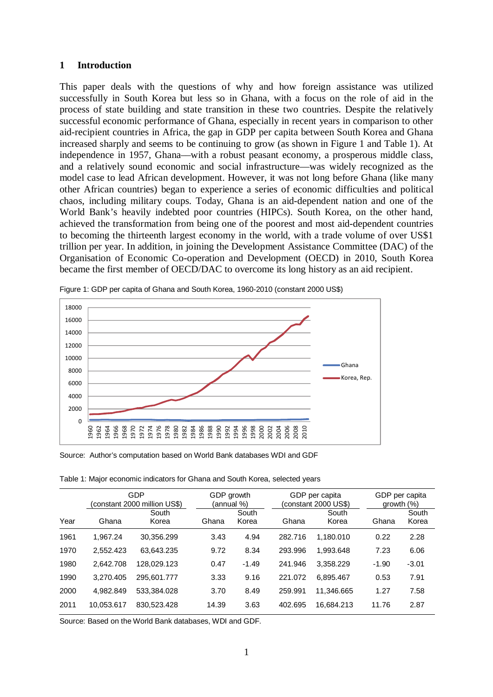#### **1 Introduction**

This paper deals with the questions of why and how foreign assistance was utilized successfully in South Korea but less so in Ghana, with a focus on the role of aid in the process of state building and state transition in these two countries. Despite the relatively successful economic performance of Ghana, especially in recent years in comparison to other aid-recipient countries in Africa, the gap in GDP per capita between South Korea and Ghana increased sharply and seems to be continuing to grow (as shown in Figure 1 and Table 1). At independence in 1957, Ghana––with a robust peasant economy, a prosperous middle class, and a relatively sound economic and social infrastructure––was widely recognized as the model case to lead African development. However, it was not long before Ghana (like many other African countries) began to experience a series of economic difficulties and political chaos, including military coups. Today, Ghana is an aid-dependent nation and one of the World Bank's heavily indebted poor countries (HIPCs). South Korea, on the other hand, achieved the transformation from being one of the poorest and most aid-dependent countries to becoming the thirteenth largest economy in the world, with a trade volume of over US\$1 trillion per year. In addition, in joining the Development Assistance Committee (DAC) of the Organisation of Economic Co-operation and Development (OECD) in 2010, South Korea became the first member of OECD/DAC to overcome its long history as an aid recipient.



Figure 1: GDP per capita of Ghana and South Korea, 1960-2010 (constant 2000 US\$)

Source: Author's computation based on World Bank databases WDI and GDF

Table 1: Major economic indicators for Ghana and South Korea, selected years

|      |            | GDP<br>(constant 2000 million US\$) | GDP growth<br>(annual %) |                |         | GDP per capita<br>(constant 2000 US\$) |         | GDP per capita<br>growth $(\%)$ |  |
|------|------------|-------------------------------------|--------------------------|----------------|---------|----------------------------------------|---------|---------------------------------|--|
| Year | Ghana      | South<br>Korea                      | Ghana                    | South<br>Korea | Ghana   | South<br>Korea                         | Ghana   | South<br>Korea                  |  |
| 1961 | 1.967.24   | 30.356.299                          | 3.43                     | 4.94           | 282.716 | 1.180.010                              | 0.22    | 2.28                            |  |
| 1970 | 2,552.423  | 63.643.235                          | 9.72                     | 8.34           | 293.996 | 1.993.648                              | 7.23    | 6.06                            |  |
| 1980 | 2.642.708  | 128.029.123                         | 0.47                     | $-1.49$        | 241.946 | 3.358.229                              | $-1.90$ | $-3.01$                         |  |
| 1990 | 3,270.405  | 295.601.777                         | 3.33                     | 9.16           | 221.072 | 6.895.467                              | 0.53    | 7.91                            |  |
| 2000 | 4.982.849  | 533.384.028                         | 3.70                     | 8.49           | 259.991 | 11.346.665                             | 1.27    | 7.58                            |  |
| 2011 | 10.053.617 | 830.523.428                         | 14.39                    | 3.63           | 402.695 | 16.684.213                             | 11.76   | 2.87                            |  |

Source: Based on the World Bank databases, WDI and GDF.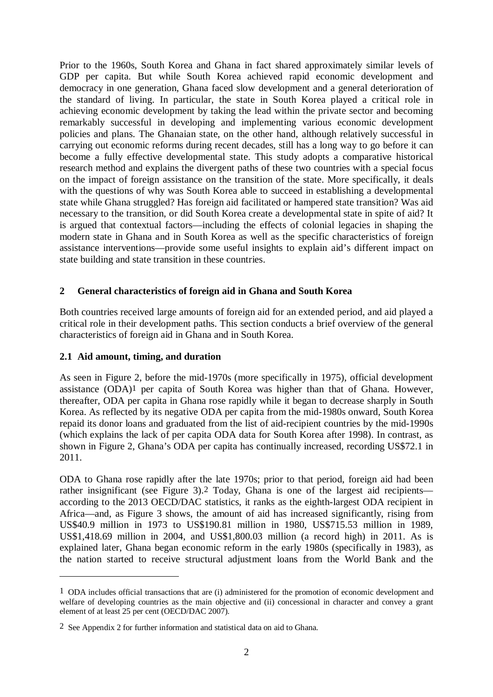Prior to the 1960s, South Korea and Ghana in fact shared approximately similar levels of GDP per capita. But while South Korea achieved rapid economic development and democracy in one generation, Ghana faced slow development and a general deterioration of the standard of living. In particular, the state in South Korea played a critical role in achieving economic development by taking the lead within the private sector and becoming remarkably successful in developing and implementing various economic development policies and plans. The Ghanaian state, on the other hand, although relatively successful in carrying out economic reforms during recent decades, still has a long way to go before it can become a fully effective developmental state. This study adopts a comparative historical research method and explains the divergent paths of these two countries with a special focus on the impact of foreign assistance on the transition of the state. More specifically, it deals with the questions of why was South Korea able to succeed in establishing a developmental state while Ghana struggled? Has foreign aid facilitated or hampered state transition? Was aid necessary to the transition, or did South Korea create a developmental state in spite of aid? It is argued that contextual factors—including the effects of colonial legacies in shaping the modern state in Ghana and in South Korea as well as the specific characteristics of foreign assistance interventions—provide some useful insights to explain aid's different impact on state building and state transition in these countries.

# **2 General characteristics of foreign aid in Ghana and South Korea**

Both countries received large amounts of foreign aid for an extended period, and aid played a critical role in their development paths. This section conducts a brief overview of the general characteristics of foreign aid in Ghana and in South Korea.

### **2.1 Aid amount, timing, and duration**

<u>.</u>

As seen in Figure 2, before the mid-1970s (more specifically in 1975), official development assistance (ODA)1 per capita of South Korea was higher than that of Ghana. However, thereafter, ODA per capita in Ghana rose rapidly while it began to decrease sharply in South Korea. As reflected by its negative ODA per capita from the mid-1980s onward, South Korea repaid its donor loans and graduated from the list of aid-recipient countries by the mid-1990s (which explains the lack of per capita ODA data for South Korea after 1998). In contrast, as shown in Figure 2, Ghana's ODA per capita has continually increased, recording US\$72.1 in 2011.

ODA to Ghana rose rapidly after the late 1970s; prior to that period, foreign aid had been rather insignificant (see Figure 3).2 Today, Ghana is one of the largest aid recipients according to the 2013 OECD/DAC statistics, it ranks as the eighth-largest ODA recipient in Africa—and, as Figure 3 shows, the amount of aid has increased significantly, rising from US\$40.9 million in 1973 to US\$190.81 million in 1980, US\$715.53 million in 1989, US\$1,418.69 million in 2004, and US\$1,800.03 million (a record high) in 2011. As is explained later, Ghana began economic reform in the early 1980s (specifically in 1983), as the nation started to receive structural adjustment loans from the World Bank and the

<sup>1</sup> ODA includes official transactions that are (i) administered for the promotion of economic development and welfare of developing countries as the main objective and (ii) concessional in character and convey a grant element of at least 25 per cent (OECD/DAC 2007).

<sup>2</sup> See Appendix 2 for further information and statistical data on aid to Ghana.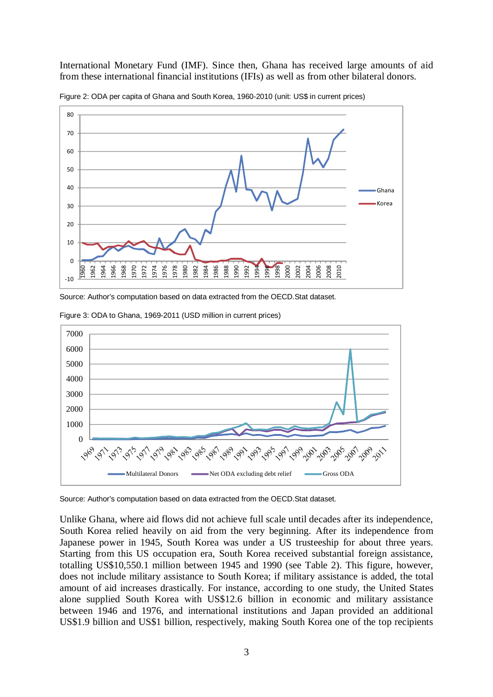International Monetary Fund (IMF). Since then, Ghana has received large amounts of aid from these international financial institutions (IFIs) as well as from other bilateral donors.



Figure 2: ODA per capita of Ghana and South Korea, 1960-2010 (unit: US\$ in current prices)

Source: Author's computation based on data extracted from the OECD.Stat dataset.



Figure 3: ODA to Ghana, 1969-2011 (USD million in current prices)

Source: Author's computation based on data extracted from the OECD.Stat dataset.

Unlike Ghana, where aid flows did not achieve full scale until decades after its independence, South Korea relied heavily on aid from the very beginning. After its independence from Japanese power in 1945, South Korea was under a US trusteeship for about three years. Starting from this US occupation era, South Korea received substantial foreign assistance, totalling US\$10,550.1 million between 1945 and 1990 (see Table 2). This figure, however, does not include military assistance to South Korea; if military assistance is added, the total amount of aid increases drastically. For instance, according to one study, the United States alone supplied South Korea with US\$12.6 billion in economic and military assistance between 1946 and 1976, and international institutions and Japan provided an additional US\$1.9 billion and US\$1 billion, respectively, making South Korea one of the top recipients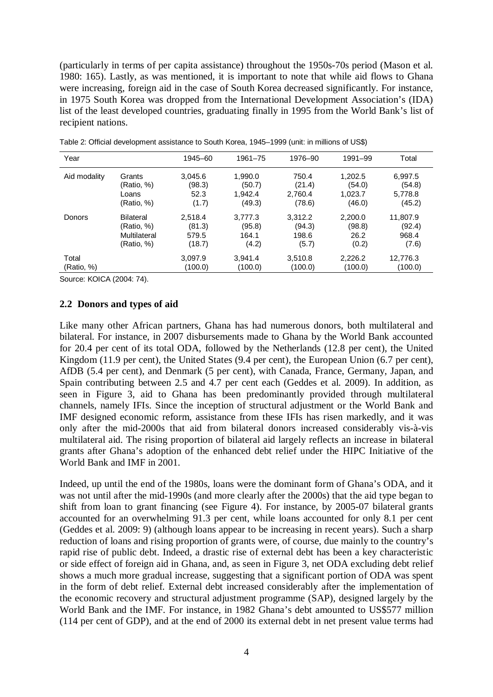(particularly in terms of per capita assistance) throughout the 1950s-70s period (Mason et al. 1980: 165). Lastly, as was mentioned, it is important to note that while aid flows to Ghana were increasing, foreign aid in the case of South Korea decreased significantly. For instance, in 1975 South Korea was dropped from the International Development Association's (IDA) list of the least developed countries, graduating finally in 1995 from the World Bank's list of recipient nations.

| Year         |                  | 1945-60 | 1961-75 | 1976-90 | 1991-99 | Total    |
|--------------|------------------|---------|---------|---------|---------|----------|
| Aid modality | Grants           | 3.045.6 | 1,990.0 | 750.4   | 1,202.5 | 6,997.5  |
|              | (Ratio, %)       | (98.3)  | (50.7)  | (21.4)  | (54.0)  | (54.8)   |
|              | Loans            | 52.3    | 1.942.4 | 2,760.4 | 1,023.7 | 5,778.8  |
|              | (Ratio, %)       | (1.7)   | (49.3)  | (78.6)  | (46.0)  | (45.2)   |
| Donors       | <b>Bilateral</b> | 2,518.4 | 3,777.3 | 3,312.2 | 2,200.0 | 11,807.9 |
|              | (Ratio, %)       | (81.3)  | (95.8)  | (94.3)  | (98.8)  | (92.4)   |
|              | Multilateral     | 579.5   | 164.1   | 198.6   | 26.2    | 968.4    |
|              | (Ratio, %)       | (18.7)  | (4.2)   | (5.7)   | (0.2)   | (7.6)    |
| Total        |                  | 3,097.9 | 3.941.4 | 3,510.8 | 2,226.2 | 12,776.3 |
| (Ratio, %)   |                  | (100.0) | (100.0) | (100.0) | (100.0) | (100.0)  |

Table 2: Official development assistance to South Korea, 1945–1999 (unit: in millions of US\$)

Source: KOICA (2004: 74).

#### **2.2 Donors and types of aid**

Like many other African partners, Ghana has had numerous donors, both multilateral and bilateral. For instance, in 2007 disbursements made to Ghana by the World Bank accounted for 20.4 per cent of its total ODA, followed by the Netherlands (12.8 per cent), the United Kingdom (11.9 per cent), the United States (9.4 per cent), the European Union (6.7 per cent), AfDB (5.4 per cent), and Denmark (5 per cent), with Canada, France, Germany, Japan, and Spain contributing between 2.5 and 4.7 per cent each (Geddes et al. 2009). In addition, as seen in Figure 3, aid to Ghana has been predominantly provided through multilateral channels, namely IFIs. Since the inception of structural adjustment or the World Bank and IMF designed economic reform, assistance from these IFIs has risen markedly, and it was only after the mid-2000s that aid from bilateral donors increased considerably vis-à-vis multilateral aid. The rising proportion of bilateral aid largely reflects an increase in bilateral grants after Ghana's adoption of the enhanced debt relief under the HIPC Initiative of the World Bank and IMF in 2001.

Indeed, up until the end of the 1980s, loans were the dominant form of Ghana's ODA, and it was not until after the mid-1990s (and more clearly after the 2000s) that the aid type began to shift from loan to grant financing (see Figure 4). For instance, by 2005-07 bilateral grants accounted for an overwhelming 91.3 per cent, while loans accounted for only 8.1 per cent (Geddes et al. 2009: 9) (although loans appear to be increasing in recent years). Such a sharp reduction of loans and rising proportion of grants were, of course, due mainly to the country's rapid rise of public debt. Indeed, a drastic rise of external debt has been a key characteristic or side effect of foreign aid in Ghana, and, as seen in Figure 3, net ODA excluding debt relief shows a much more gradual increase, suggesting that a significant portion of ODA was spent in the form of debt relief. External debt increased considerably after the implementation of the economic recovery and structural adjustment programme (SAP), designed largely by the World Bank and the IMF. For instance, in 1982 Ghana's debt amounted to US\$577 million (114 per cent of GDP), and at the end of 2000 its external debt in net present value terms had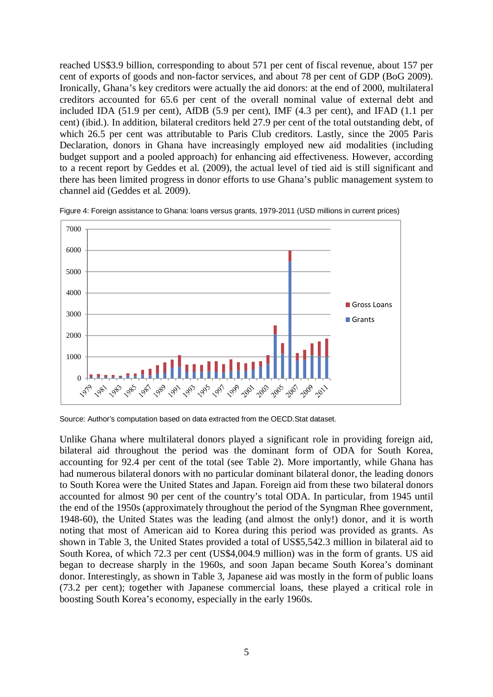reached US\$3.9 billion, corresponding to about 571 per cent of fiscal revenue, about 157 per cent of exports of goods and non-factor services, and about 78 per cent of GDP (BoG 2009). Ironically, Ghana's key creditors were actually the aid donors: at the end of 2000, multilateral creditors accounted for 65.6 per cent of the overall nominal value of external debt and included IDA (51.9 per cent), AfDB (5.9 per cent), IMF (4.3 per cent), and IFAD (1.1 per cent) (ibid.). In addition, bilateral creditors held 27.9 per cent of the total outstanding debt, of which 26.5 per cent was attributable to Paris Club creditors. Lastly, since the 2005 Paris Declaration, donors in Ghana have increasingly employed new aid modalities (including budget support and a pooled approach) for enhancing aid effectiveness. However, according to a recent report by Geddes et al. (2009), the actual level of tied aid is still significant and there has been limited progress in donor efforts to use Ghana's public management system to channel aid (Geddes et al. 2009).



Figure 4: Foreign assistance to Ghana: loans versus grants, 1979-2011 (USD millions in current prices)

Source: Author's computation based on data extracted from the OECD.Stat dataset.

Unlike Ghana where multilateral donors played a significant role in providing foreign aid, bilateral aid throughout the period was the dominant form of ODA for South Korea, accounting for 92.4 per cent of the total (see Table 2). More importantly, while Ghana has had numerous bilateral donors with no particular dominant bilateral donor, the leading donors to South Korea were the United States and Japan. Foreign aid from these two bilateral donors accounted for almost 90 per cent of the country's total ODA. In particular, from 1945 until the end of the 1950s (approximately throughout the period of the Syngman Rhee government, 1948-60), the United States was the leading (and almost the only!) donor, and it is worth noting that most of American aid to Korea during this period was provided as grants. As shown in Table 3, the United States provided a total of US\$5,542.3 million in bilateral aid to South Korea, of which 72.3 per cent (US\$4,004.9 million) was in the form of grants. US aid began to decrease sharply in the 1960s, and soon Japan became South Korea's dominant donor. Interestingly, as shown in Table 3, Japanese aid was mostly in the form of public loans (73.2 per cent); together with Japanese commercial loans, these played a critical role in boosting South Korea's economy, especially in the early 1960s.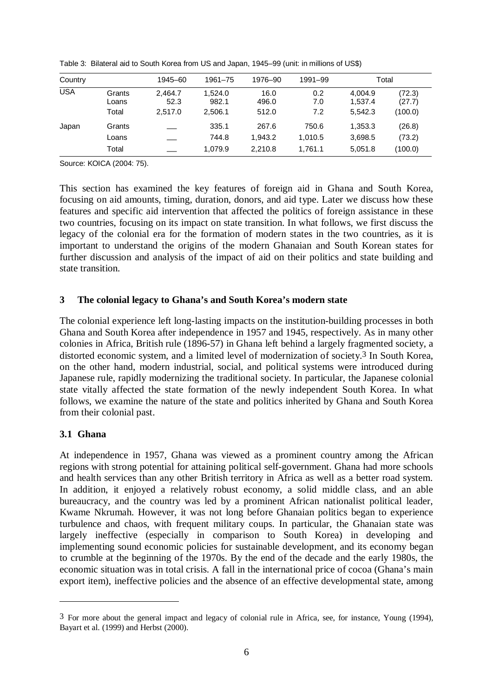| Country    |                          | 1945-60                    | 1961-75                     | 1976-90                | 1991-99           |                               | Total                       |
|------------|--------------------------|----------------------------|-----------------------------|------------------------|-------------------|-------------------------------|-----------------------------|
| <b>USA</b> | Grants<br>Loans<br>Total | 2.464.7<br>52.3<br>2.517.0 | 1.524.0<br>982.1<br>2.506.1 | 16.0<br>496.0<br>512.0 | 0.2<br>7.0<br>7.2 | 4.004.9<br>1,537.4<br>5,542.3 | (72.3)<br>(27.7)<br>(100.0) |
| Japan      | Grants<br>Loans          |                            | 335.1<br>744.8              | 267.6<br>1.943.2       | 750.6<br>1,010.5  | 1,353.3<br>3,698.5            | (26.8)<br>(73.2)            |
|            | Total                    |                            | 1.079.9                     | 2.210.8                | 1,761.1           | 5,051.8                       | (100.0)                     |

Table 3: Bilateral aid to South Korea from US and Japan, 1945–99 (unit: in millions of US\$)

Source: KOICA (2004: 75).

This section has examined the key features of foreign aid in Ghana and South Korea, focusing on aid amounts, timing, duration, donors, and aid type. Later we discuss how these features and specific aid intervention that affected the politics of foreign assistance in these two countries, focusing on its impact on state transition. In what follows, we first discuss the legacy of the colonial era for the formation of modern states in the two countries, as it is important to understand the origins of the modern Ghanaian and South Korean states for further discussion and analysis of the impact of aid on their politics and state building and state transition.

## **3 The colonial legacy to Ghana's and South Korea's modern state**

The colonial experience left long-lasting impacts on the institution-building processes in both Ghana and South Korea after independence in 1957 and 1945, respectively. As in many other colonies in Africa, British rule (1896-57) in Ghana left behind a largely fragmented society, a distorted economic system, and a limited level of modernization of society.3 In South Korea, on the other hand, modern industrial, social, and political systems were introduced during Japanese rule, rapidly modernizing the traditional society. In particular, the Japanese colonial state vitally affected the state formation of the newly independent South Korea. In what follows, we examine the nature of the state and politics inherited by Ghana and South Korea from their colonial past.

# **3.1 Ghana**

<u>.</u>

At independence in 1957, Ghana was viewed as a prominent country among the African regions with strong potential for attaining political self-government. Ghana had more schools and health services than any other British territory in Africa as well as a better road system. In addition, it enjoyed a relatively robust economy, a solid middle class, and an able bureaucracy, and the country was led by a prominent African nationalist political leader, Kwame Nkrumah. However, it was not long before Ghanaian politics began to experience turbulence and chaos, with frequent military coups. In particular, the Ghanaian state was largely ineffective (especially in comparison to South Korea) in developing and implementing sound economic policies for sustainable development, and its economy began to crumble at the beginning of the 1970s. By the end of the decade and the early 1980s, the economic situation was in total crisis. A fall in the international price of cocoa (Ghana's main export item), ineffective policies and the absence of an effective developmental state, among

<sup>3</sup> For more about the general impact and legacy of colonial rule in Africa, see, for instance, Young (1994), Bayart et al. (1999) and Herbst (2000).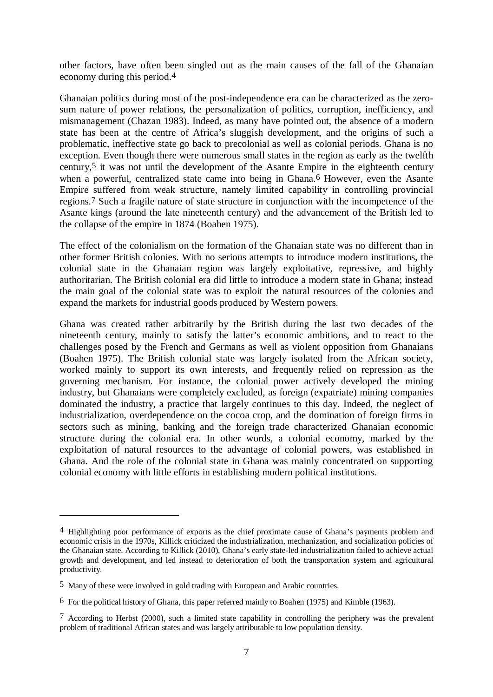other factors, have often been singled out as the main causes of the fall of the Ghanaian economy during this period.4

Ghanaian politics during most of the post-independence era can be characterized as the zerosum nature of power relations, the personalization of politics, corruption, inefficiency, and mismanagement (Chazan 1983). Indeed, as many have pointed out, the absence of a modern state has been at the centre of Africa's sluggish development, and the origins of such a problematic, ineffective state go back to precolonial as well as colonial periods. Ghana is no exception. Even though there were numerous small states in the region as early as the twelfth century,5 it was not until the development of the Asante Empire in the eighteenth century when a powerful, centralized state came into being in Ghana.<sup>6</sup> However, even the Asante Empire suffered from weak structure, namely limited capability in controlling provincial regions.7 Such a fragile nature of state structure in conjunction with the incompetence of the Asante kings (around the late nineteenth century) and the advancement of the British led to the collapse of the empire in 1874 (Boahen 1975).

The effect of the colonialism on the formation of the Ghanaian state was no different than in other former British colonies. With no serious attempts to introduce modern institutions, the colonial state in the Ghanaian region was largely exploitative, repressive, and highly authoritarian. The British colonial era did little to introduce a modern state in Ghana; instead the main goal of the colonial state was to exploit the natural resources of the colonies and expand the markets for industrial goods produced by Western powers.

Ghana was created rather arbitrarily by the British during the last two decades of the nineteenth century, mainly to satisfy the latter's economic ambitions, and to react to the challenges posed by the French and Germans as well as violent opposition from Ghanaians (Boahen 1975). The British colonial state was largely isolated from the African society, worked mainly to support its own interests, and frequently relied on repression as the governing mechanism. For instance, the colonial power actively developed the mining industry, but Ghanaians were completely excluded, as foreign (expatriate) mining companies dominated the industry, a practice that largely continues to this day. Indeed, the neglect of industrialization, overdependence on the cocoa crop, and the domination of foreign firms in sectors such as mining, banking and the foreign trade characterized Ghanaian economic structure during the colonial era. In other words, a colonial economy, marked by the exploitation of natural resources to the advantage of colonial powers, was established in Ghana. And the role of the colonial state in Ghana was mainly concentrated on supporting colonial economy with little efforts in establishing modern political institutions.

<sup>4</sup> Highlighting poor performance of exports as the chief proximate cause of Ghana's payments problem and economic crisis in the 1970s, Killick criticized the industrialization, mechanization, and socialization policies of the Ghanaian state. According to Killick (2010), Ghana's early state-led industrialization failed to achieve actual growth and development, and led instead to deterioration of both the transportation system and agricultural productivity.

<sup>5</sup> Many of these were involved in gold trading with European and Arabic countries.

<sup>6</sup> For the political history of Ghana, this paper referred mainly to Boahen (1975) and Kimble (1963).

<sup>7</sup> According to Herbst (2000), such a limited state capability in controlling the periphery was the prevalent problem of traditional African states and was largely attributable to low population density.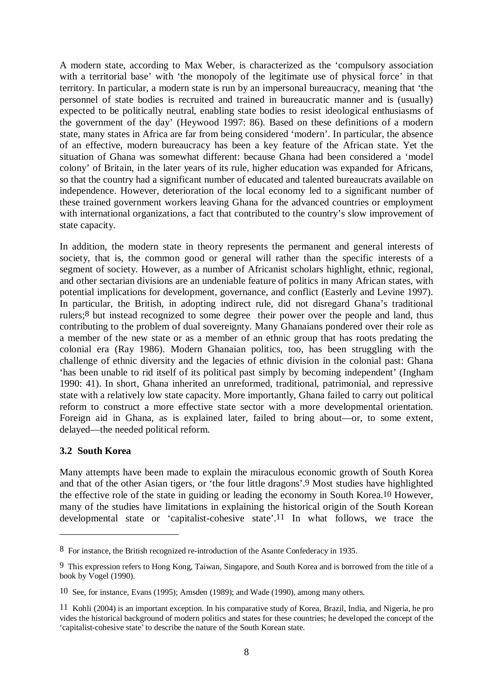A modern state, according to Max Weber, is characterized as the 'compulsory association with a territorial base' with 'the monopoly of the legitimate use of physical force' in that territory. In particular, a modern state is run by an impersonal bureaucracy, meaning that 'the personnel of state bodies is recruited and trained in bureaucratic manner and is (usually) expected to be politically neutral, enabling state bodies to resist ideological enthusiasms of the government of the day' (Heywood 1997: 86). Based on these definitions of a modern state, many states in Africa are far from being considered 'modern'. In particular, the absence of an effective, modern bureaucracy has been a key feature of the African state. Yet the situation of Ghana was somewhat different: because Ghana had been considered a 'model colony' of Britain, in the later years of its rule, higher education was expanded for Africans, so that the country had a significant number of educated and talented bureaucrats available on independence. However, deterioration of the local economy led to a significant number of these trained government workers leaving Ghana for the advanced countries or employment with international organizations, a fact that contributed to the country's slow improvement of state capacity.

In addition, the modern state in theory represents the permanent and general interests of society, that is, the common good or general will rather than the specific interests of a segment of society. However, as a number of Africanist scholars highlight, ethnic, regional, and other sectarian divisions are an undeniable feature of politics in many African states, with potential implications for development, governance, and conflict (Easterly and Levine 1997). In particular, the British, in adopting indirect rule, did not disregard Ghana's traditional rulers;8 but instead recognized to some degree their power over the people and land, thus contributing to the problem of dual sovereignty. Many Ghanaians pondered over their role as a member of the new state or as a member of an ethnic group that has roots predating the colonial era (Ray 1986). Modern Ghanaian politics, too, has been struggling with the challenge of ethnic diversity and the legacies of ethnic division in the colonial past: Ghana 'has been unable to rid itself of its political past simply by becoming independent' (Ingham 1990: 41). In short, Ghana inherited an unreformed, traditional, patrimonial, and repressive state with a relatively low state capacity. More importantly, Ghana failed to carry out political reform to construct a more effective state sector with a more developmental orientation. Foreign aid in Ghana, as is explained later, failed to bring about—or, to some extent, delayed—the needed political reform.

# **3.2 South Korea**

<u>.</u>

Many attempts have been made to explain the miraculous economic growth of South Korea and that of the other Asian tigers, or 'the four little dragons'.9 Most studies have highlighted the effective role of the state in guiding or leading the economy in South Korea.10 However, many of the studies have limitations in explaining the historical origin of the South Korean developmental state or 'capitalist-cohesive state'.11 In what follows, we trace the

<sup>8</sup> For instance, the British recognized re-introduction of the Asante Confederacy in 1935.

<sup>9</sup> This expression refers to Hong Kong, Taiwan, Singapore, and South Korea and is borrowed from the title of a book by Vogel (1990).

<sup>10</sup> See, for instance, Evans (1995); Amsden (1989); and Wade (1990)*,* among many others.

<sup>11</sup> Kohli (2004) is an important exception. In his comparative study of Korea, Brazil, India, and Nigeria, he pro vides the historical background of modern politics and states for these countries; he developed the concept of the 'capitalist-cohesive state' to describe the nature of the South Korean state.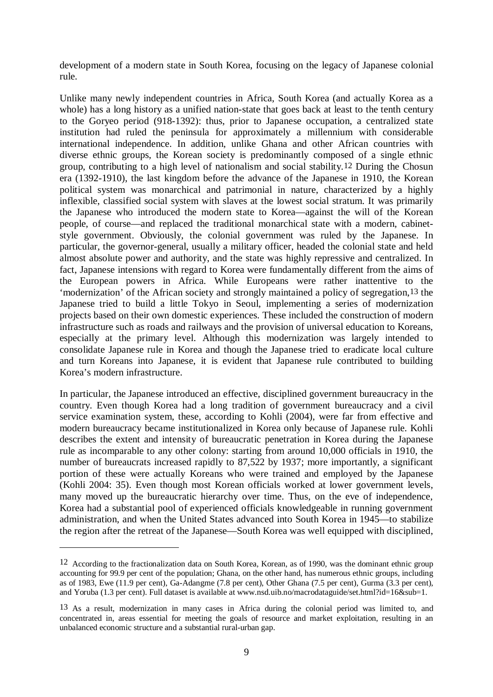development of a modern state in South Korea, focusing on the legacy of Japanese colonial rule.

Unlike many newly independent countries in Africa, South Korea (and actually Korea as a whole) has a long history as a unified nation-state that goes back at least to the tenth century to the Goryeo period (918-1392): thus, prior to Japanese occupation, a centralized state institution had ruled the peninsula for approximately a millennium with considerable international independence. In addition, unlike Ghana and other African countries with diverse ethnic groups, the Korean society is predominantly composed of a single ethnic group, contributing to a high level of nationalism and social stability.12 During the Chosun era (1392-1910), the last kingdom before the advance of the Japanese in 1910, the Korean political system was monarchical and patrimonial in nature, characterized by a highly inflexible, classified social system with slaves at the lowest social stratum. It was primarily the Japanese who introduced the modern state to Korea—against the will of the Korean people, of course—and replaced the traditional monarchical state with a modern, cabinetstyle government. Obviously, the colonial government was ruled by the Japanese. In particular, the governor-general, usually a military officer, headed the colonial state and held almost absolute power and authority, and the state was highly repressive and centralized. In fact, Japanese intensions with regard to Korea were fundamentally different from the aims of the European powers in Africa. While Europeans were rather inattentive to the 'modernization' of the African society and strongly maintained a policy of segregation,13 the Japanese tried to build a little Tokyo in Seoul, implementing a series of modernization projects based on their own domestic experiences. These included the construction of modern infrastructure such as roads and railways and the provision of universal education to Koreans, especially at the primary level. Although this modernization was largely intended to consolidate Japanese rule in Korea and though the Japanese tried to eradicate local culture and turn Koreans into Japanese, it is evident that Japanese rule contributed to building Korea's modern infrastructure.

In particular, the Japanese introduced an effective, disciplined government bureaucracy in the country. Even though Korea had a long tradition of government bureaucracy and a civil service examination system, these, according to Kohli (2004), were far from effective and modern bureaucracy became institutionalized in Korea only because of Japanese rule. Kohli describes the extent and intensity of bureaucratic penetration in Korea during the Japanese rule as incomparable to any other colony: starting from around 10,000 officials in 1910, the number of bureaucrats increased rapidly to 87,522 by 1937; more importantly, a significant portion of these were actually Koreans who were trained and employed by the Japanese (Kohli 2004: 35). Even though most Korean officials worked at lower government levels, many moved up the bureaucratic hierarchy over time. Thus, on the eve of independence, Korea had a substantial pool of experienced officials knowledgeable in running government administration, and when the United States advanced into South Korea in 1945—to stabilize the region after the retreat of the Japanese—South Korea was well equipped with disciplined,

<sup>12</sup> According to the fractionalization data on South Korea, Korean, as of 1990, was the dominant ethnic group accounting for 99.9 per cent of the population; Ghana, on the other hand, has numerous ethnic groups, including as of 1983, Ewe (11.9 per cent), Ga-Adangme (7.8 per cent), Other Ghana (7.5 per cent), Gurma (3.3 per cent), and Yoruba (1.3 per cent). Full dataset is available at www.nsd.uib.no/macrodataguide/set.html?id=16&sub=1.

<sup>13</sup> As a result, modernization in many cases in Africa during the colonial period was limited to, and concentrated in, areas essential for meeting the goals of resource and market exploitation, resulting in an unbalanced economic structure and a substantial rural-urban gap.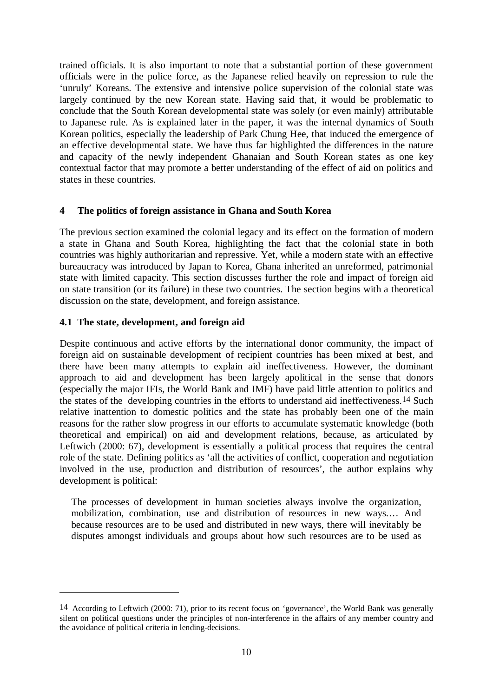trained officials. It is also important to note that a substantial portion of these government officials were in the police force, as the Japanese relied heavily on repression to rule the 'unruly' Koreans. The extensive and intensive police supervision of the colonial state was largely continued by the new Korean state. Having said that, it would be problematic to conclude that the South Korean developmental state was solely (or even mainly) attributable to Japanese rule. As is explained later in the paper, it was the internal dynamics of South Korean politics, especially the leadership of Park Chung Hee, that induced the emergence of an effective developmental state. We have thus far highlighted the differences in the nature and capacity of the newly independent Ghanaian and South Korean states as one key contextual factor that may promote a better understanding of the effect of aid on politics and states in these countries.

### **4 The politics of foreign assistance in Ghana and South Korea**

The previous section examined the colonial legacy and its effect on the formation of modern a state in Ghana and South Korea, highlighting the fact that the colonial state in both countries was highly authoritarian and repressive. Yet, while a modern state with an effective bureaucracy was introduced by Japan to Korea, Ghana inherited an unreformed, patrimonial state with limited capacity. This section discusses further the role and impact of foreign aid on state transition (or its failure) in these two countries. The section begins with a theoretical discussion on the state, development, and foreign assistance.

#### **4.1 The state, development, and foreign aid**

1

Despite continuous and active efforts by the international donor community, the impact of foreign aid on sustainable development of recipient countries has been mixed at best, and there have been many attempts to explain aid ineffectiveness. However, the dominant approach to aid and development has been largely apolitical in the sense that donors (especially the major IFIs, the World Bank and IMF) have paid little attention to politics and the states of the developing countries in the efforts to understand aid ineffectiveness.14 Such relative inattention to domestic politics and the state has probably been one of the main reasons for the rather slow progress in our efforts to accumulate systematic knowledge (both theoretical and empirical) on aid and development relations, because, as articulated by Leftwich (2000: 67), development is essentially a political process that requires the central role of the state. Defining politics as 'all the activities of conflict, cooperation and negotiation involved in the use, production and distribution of resources', the author explains why development is political:

The processes of development in human societies always involve the organization, mobilization, combination, use and distribution of resources in new ways.… And because resources are to be used and distributed in new ways, there will inevitably be disputes amongst individuals and groups about how such resources are to be used as

<sup>14</sup> According to Leftwich (2000: 71), prior to its recent focus on 'governance', the World Bank was generally silent on political questions under the principles of non-interference in the affairs of any member country and the avoidance of political criteria in lending-decisions.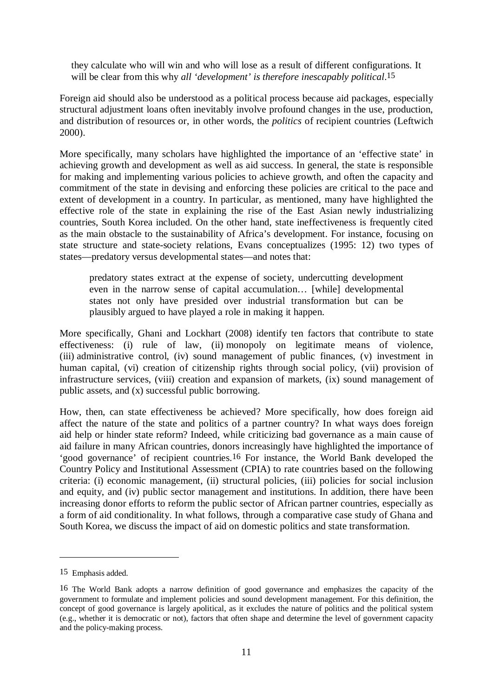they calculate who will win and who will lose as a result of different configurations. It will be clear from this why *all 'development' is therefore inescapably political*.15

Foreign aid should also be understood as a political process because aid packages, especially structural adjustment loans often inevitably involve profound changes in the use, production, and distribution of resources or, in other words, the *politics* of recipient countries (Leftwich 2000).

More specifically, many scholars have highlighted the importance of an 'effective state' in achieving growth and development as well as aid success. In general, the state is responsible for making and implementing various policies to achieve growth, and often the capacity and commitment of the state in devising and enforcing these policies are critical to the pace and extent of development in a country. In particular, as mentioned, many have highlighted the effective role of the state in explaining the rise of the East Asian newly industrializing countries, South Korea included. On the other hand, state ineffectiveness is frequently cited as the main obstacle to the sustainability of Africa's development. For instance, focusing on state structure and state-society relations, Evans conceptualizes (1995: 12) two types of states—predatory versus developmental states—and notes that:

predatory states extract at the expense of society, undercutting development even in the narrow sense of capital accumulation… [while] developmental states not only have presided over industrial transformation but can be plausibly argued to have played a role in making it happen.

More specifically, Ghani and Lockhart (2008) identify ten factors that contribute to state effectiveness: (i) rule of law, (ii) monopoly on legitimate means of violence, (iii) administrative control, (iv) sound management of public finances, (v) investment in human capital, (vi) creation of citizenship rights through social policy, (vii) provision of infrastructure services, (viii) creation and expansion of markets, (ix) sound management of public assets, and (x) successful public borrowing.

How, then, can state effectiveness be achieved? More specifically, how does foreign aid affect the nature of the state and politics of a partner country? In what ways does foreign aid help or hinder state reform? Indeed, while criticizing bad governance as a main cause of aid failure in many African countries, donors increasingly have highlighted the importance of 'good governance' of recipient countries.16 For instance, the World Bank developed the Country Policy and Institutional Assessment (CPIA) to rate countries based on the following criteria: (i) economic management, (ii) structural policies, (iii) policies for social inclusion and equity, and (iv) public sector management and institutions. In addition, there have been increasing donor efforts to reform the public sector of African partner countries, especially as a form of aid conditionality. In what follows, through a comparative case study of Ghana and South Korea, we discuss the impact of aid on domestic politics and state transformation.

<sup>15</sup> Emphasis added.

<sup>16</sup> The World Bank adopts a narrow definition of good governance and emphasizes the capacity of the government to formulate and implement policies and sound development management. For this definition, the concept of good governance is largely apolitical, as it excludes the nature of politics and the political system (e.g., whether it is democratic or not), factors that often shape and determine the level of government capacity and the policy-making process.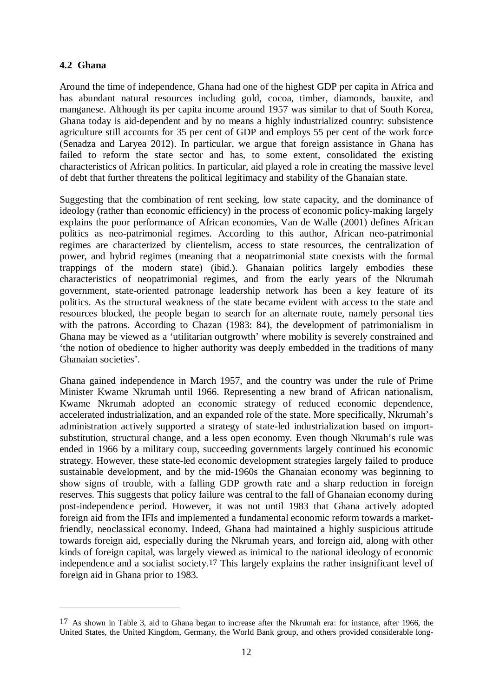# **4.2 Ghana**

1

Around the time of independence, Ghana had one of the highest GDP per capita in Africa and has abundant natural resources including gold, cocoa, timber, diamonds, bauxite, and manganese. Although its per capita income around 1957 was similar to that of South Korea, Ghana today is aid-dependent and by no means a highly industrialized country: subsistence agriculture still accounts for 35 per cent of GDP and employs 55 per cent of the work force (Senadza and Laryea 2012). In particular, we argue that foreign assistance in Ghana has failed to reform the state sector and has, to some extent, consolidated the existing characteristics of African politics. In particular, aid played a role in creating the massive level of debt that further threatens the political legitimacy and stability of the Ghanaian state.

Suggesting that the combination of rent seeking, low state capacity, and the dominance of ideology (rather than economic efficiency) in the process of economic policy-making largely explains the poor performance of African economies, Van de Walle (2001) defines African politics as neo-patrimonial regimes. According to this author, African neo-patrimonial regimes are characterized by clientelism, access to state resources, the centralization of power, and hybrid regimes (meaning that a neopatrimonial state coexists with the formal trappings of the modern state) (ibid.). Ghanaian politics largely embodies these characteristics of neopatrimonial regimes, and from the early years of the Nkrumah government, state-oriented patronage leadership network has been a key feature of its politics. As the structural weakness of the state became evident with access to the state and resources blocked, the people began to search for an alternate route, namely personal ties with the patrons. According to Chazan (1983: 84), the development of patrimonialism in Ghana may be viewed as a 'utilitarian outgrowth' where mobility is severely constrained and 'the notion of obedience to higher authority was deeply embedded in the traditions of many Ghanaian societies'.

Ghana gained independence in March 1957, and the country was under the rule of Prime Minister Kwame Nkrumah until 1966. Representing a new brand of African nationalism, Kwame Nkrumah adopted an economic strategy of reduced economic dependence, accelerated industrialization, and an expanded role of the state. More specifically, Nkrumah's administration actively supported a strategy of state-led industrialization based on importsubstitution, structural change, and a less open economy. Even though Nkrumah's rule was ended in 1966 by a military coup, succeeding governments largely continued his economic strategy. However, these state-led economic development strategies largely failed to produce sustainable development, and by the mid-1960s the Ghanaian economy was beginning to show signs of trouble, with a falling GDP growth rate and a sharp reduction in foreign reserves. This suggests that policy failure was central to the fall of Ghanaian economy during post-independence period. However, it was not until 1983 that Ghana actively adopted foreign aid from the IFIs and implemented a fundamental economic reform towards a marketfriendly, neoclassical economy. Indeed, Ghana had maintained a highly suspicious attitude towards foreign aid, especially during the Nkrumah years, and foreign aid, along with other kinds of foreign capital, was largely viewed as inimical to the national ideology of economic independence and a socialist society.17 This largely explains the rather insignificant level of foreign aid in Ghana prior to 1983.

<sup>17</sup> As shown in Table 3, aid to Ghana began to increase after the Nkrumah era: for instance, after 1966, the United States, the United Kingdom, Germany, the World Bank group, and others provided considerable long-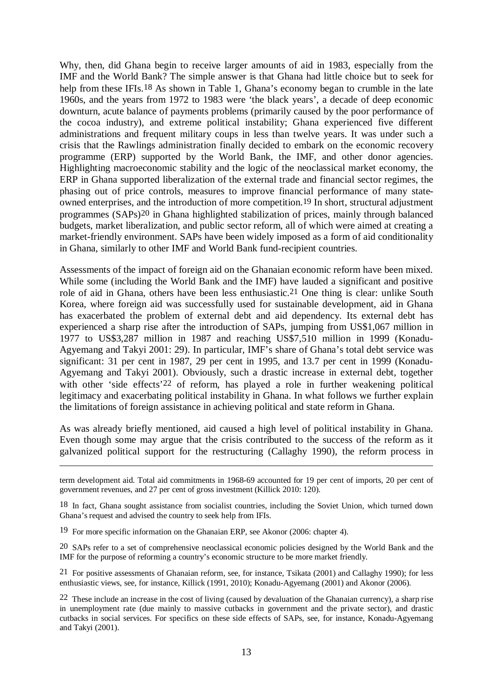Why, then, did Ghana begin to receive larger amounts of aid in 1983, especially from the IMF and the World Bank? The simple answer is that Ghana had little choice but to seek for help from these IFIs.<sup>18</sup> As shown in Table 1, Ghana's economy began to crumble in the late 1960s, and the years from 1972 to 1983 were 'the black years', a decade of deep economic downturn, acute balance of payments problems (primarily caused by the poor performance of the cocoa industry), and extreme political instability; Ghana experienced five different administrations and frequent military coups in less than twelve years. It was under such a crisis that the Rawlings administration finally decided to embark on the economic recovery programme (ERP) supported by the World Bank, the IMF, and other donor agencies. Highlighting macroeconomic stability and the logic of the neoclassical market economy, the ERP in Ghana supported liberalization of the external trade and financial sector regimes, the phasing out of price controls, measures to improve financial performance of many stateowned enterprises, and the introduction of more competition.19 In short, structural adjustment programmes (SAPs)20 in Ghana highlighted stabilization of prices, mainly through balanced budgets, market liberalization, and public sector reform, all of which were aimed at creating a market-friendly environment. SAPs have been widely imposed as a form of aid conditionality in Ghana, similarly to other IMF and World Bank fund-recipient countries.

Assessments of the impact of foreign aid on the Ghanaian economic reform have been mixed. While some (including the World Bank and the IMF) have lauded a significant and positive role of aid in Ghana, others have been less enthusiastic.21 One thing is clear: unlike South Korea, where foreign aid was successfully used for sustainable development, aid in Ghana has exacerbated the problem of external debt and aid dependency. Its external debt has experienced a sharp rise after the introduction of SAPs, jumping from US\$1,067 million in 1977 to US\$3,287 million in 1987 and reaching US\$7,510 million in 1999 (Konadu-Agyemang and Takyi 2001: 29). In particular, IMF's share of Ghana's total debt service was significant: 31 per cent in 1987, 29 per cent in 1995, and 13.7 per cent in 1999 (Konadu-Agyemang and Takyi 2001). Obviously, such a drastic increase in external debt, together with other 'side effects'<sup>22</sup> of reform, has played a role in further weakening political legitimacy and exacerbating political instability in Ghana. In what follows we further explain the limitations of foreign assistance in achieving political and state reform in Ghana.

As was already briefly mentioned, aid caused a high level of political instability in Ghana. Even though some may argue that the crisis contributed to the success of the reform as it galvanized political support for the restructuring (Callaghy 1990), the reform process in

term development aid. Total aid commitments in 1968-69 accounted for 19 per cent of imports, 20 per cent of government revenues, and 27 per cent of gross investment (Killick 2010: 120).

18 In fact, Ghana sought assistance from socialist countries, including the Soviet Union, which turned down Ghana's request and advised the country to seek help from IFIs.

19 For more specific information on the Ghanaian ERP, see Akonor (2006: chapter 4).

1

20 SAPs refer to a set of comprehensive neoclassical economic policies designed by the World Bank and the IMF for the purpose of reforming a country's economic structure to be more market friendly.

21 For positive assessments of Ghanaian reform, see, for instance, Tsikata (2001) and Callaghy 1990); for less enthusiastic views, see, for instance, Killick (1991, 2010); Konadu-Agyemang (2001) and Akonor (2006).

22 These include an increase in the cost of living (caused by devaluation of the Ghanaian currency), a sharp rise in unemployment rate (due mainly to massive cutbacks in government and the private sector), and drastic cutbacks in social services. For specifics on these side effects of SAPs, see, for instance, Konadu-Agyemang and Takyi (2001).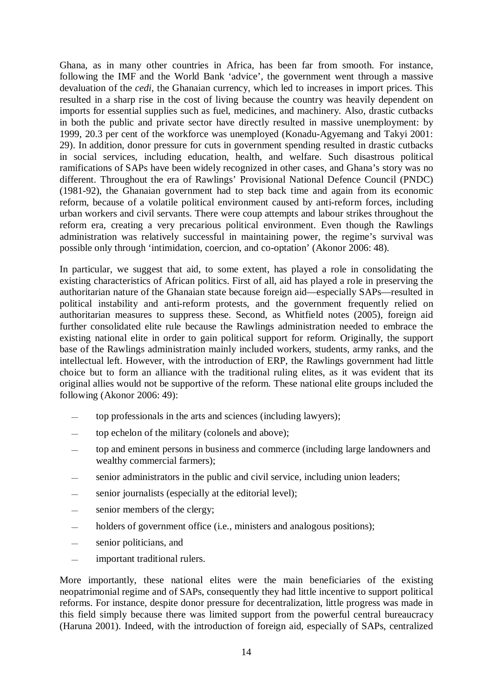Ghana, as in many other countries in Africa, has been far from smooth. For instance, following the IMF and the World Bank 'advice', the government went through a massive devaluation of the *cedi*, the Ghanaian currency, which led to increases in import prices. This resulted in a sharp rise in the cost of living because the country was heavily dependent on imports for essential supplies such as fuel, medicines, and machinery. Also, drastic cutbacks in both the public and private sector have directly resulted in massive unemployment: by 1999, 20.3 per cent of the workforce was unemployed (Konadu-Agyemang and Takyi 2001: 29). In addition, donor pressure for cuts in government spending resulted in drastic cutbacks in social services, including education, health, and welfare. Such disastrous political ramifications of SAPs have been widely recognized in other cases, and Ghana's story was no different. Throughout the era of Rawlings' Provisional National Defence Council (PNDC) (1981-92), the Ghanaian government had to step back time and again from its economic reform, because of a volatile political environment caused by anti-reform forces, including urban workers and civil servants. There were coup attempts and labour strikes throughout the reform era, creating a very precarious political environment. Even though the Rawlings administration was relatively successful in maintaining power, the regime's survival was possible only through 'intimidation, coercion, and co-optation' (Akonor 2006: 48).

In particular, we suggest that aid, to some extent, has played a role in consolidating the existing characteristics of African politics. First of all, aid has played a role in preserving the authoritarian nature of the Ghanaian state because foreign aid—especially SAPs—resulted in political instability and anti-reform protests, and the government frequently relied on authoritarian measures to suppress these. Second, as Whitfield notes (2005), foreign aid further consolidated elite rule because the Rawlings administration needed to embrace the existing national elite in order to gain political support for reform. Originally, the support base of the Rawlings administration mainly included workers, students, army ranks, and the intellectual left. However, with the introduction of ERP, the Rawlings government had little choice but to form an alliance with the traditional ruling elites, as it was evident that its original allies would not be supportive of the reform. These national elite groups included the following (Akonor 2006: 49):

- top professionals in the arts and sciences (including lawyers);
- top echelon of the military (colonels and above);
- top and eminent persons in business and commerce (including large landowners and wealthy commercial farmers);
- senior administrators in the public and civil service, including union leaders;
- senior journalists (especially at the editorial level);
- senior members of the clergy;
- holders of government office (i.e., ministers and analogous positions);
- senior politicians, and
- important traditional rulers.

More importantly, these national elites were the main beneficiaries of the existing neopatrimonial regime and of SAPs, consequently they had little incentive to support political reforms. For instance, despite donor pressure for decentralization, little progress was made in this field simply because there was limited support from the powerful central bureaucracy (Haruna 2001). Indeed, with the introduction of foreign aid, especially of SAPs, centralized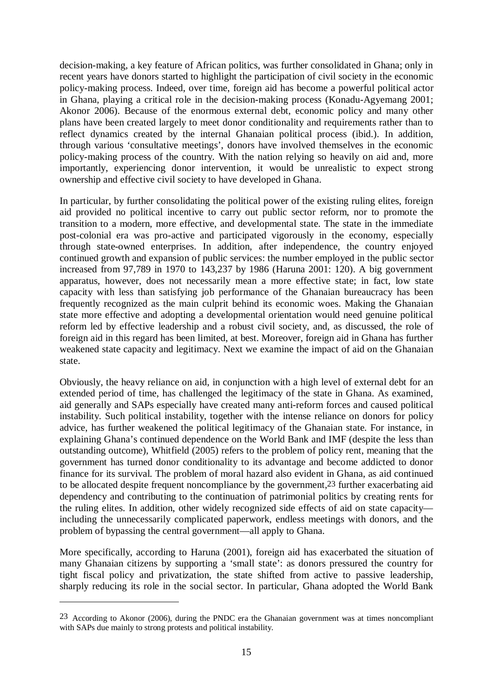decision-making, a key feature of African politics, was further consolidated in Ghana; only in recent years have donors started to highlight the participation of civil society in the economic policy-making process. Indeed, over time, foreign aid has become a powerful political actor in Ghana, playing a critical role in the decision-making process (Konadu-Agyemang 2001; Akonor 2006). Because of the enormous external debt, economic policy and many other plans have been created largely to meet donor conditionality and requirements rather than to reflect dynamics created by the internal Ghanaian political process (ibid.). In addition, through various 'consultative meetings', donors have involved themselves in the economic policy-making process of the country. With the nation relying so heavily on aid and, more importantly, experiencing donor intervention, it would be unrealistic to expect strong ownership and effective civil society to have developed in Ghana.

In particular, by further consolidating the political power of the existing ruling elites, foreign aid provided no political incentive to carry out public sector reform, nor to promote the transition to a modern, more effective, and developmental state. The state in the immediate post-colonial era was pro-active and participated vigorously in the economy, especially through state-owned enterprises. In addition, after independence, the country enjoyed continued growth and expansion of public services: the number employed in the public sector increased from 97,789 in 1970 to 143,237 by 1986 (Haruna 2001: 120). A big government apparatus, however, does not necessarily mean a more effective state; in fact, low state capacity with less than satisfying job performance of the Ghanaian bureaucracy has been frequently recognized as the main culprit behind its economic woes. Making the Ghanaian state more effective and adopting a developmental orientation would need genuine political reform led by effective leadership and a robust civil society, and, as discussed, the role of foreign aid in this regard has been limited, at best. Moreover, foreign aid in Ghana has further weakened state capacity and legitimacy. Next we examine the impact of aid on the Ghanaian state.

Obviously, the heavy reliance on aid, in conjunction with a high level of external debt for an extended period of time, has challenged the legitimacy of the state in Ghana. As examined, aid generally and SAPs especially have created many anti-reform forces and caused political instability. Such political instability, together with the intense reliance on donors for policy advice, has further weakened the political legitimacy of the Ghanaian state. For instance, in explaining Ghana's continued dependence on the World Bank and IMF (despite the less than outstanding outcome), Whitfield (2005) refers to the problem of policy rent, meaning that the government has turned donor conditionality to its advantage and become addicted to donor finance for its survival. The problem of moral hazard also evident in Ghana, as aid continued to be allocated despite frequent noncompliance by the government,23 further exacerbating aid dependency and contributing to the continuation of patrimonial politics by creating rents for the ruling elites. In addition, other widely recognized side effects of aid on state capacity including the unnecessarily complicated paperwork, endless meetings with donors, and the problem of bypassing the central government—all apply to Ghana.

More specifically, according to Haruna (2001), foreign aid has exacerbated the situation of many Ghanaian citizens by supporting a 'small state': as donors pressured the country for tight fiscal policy and privatization, the state shifted from active to passive leadership, sharply reducing its role in the social sector. In particular, Ghana adopted the World Bank

<sup>23</sup> According to Akonor (2006), during the PNDC era the Ghanaian government was at times noncompliant with SAPs due mainly to strong protests and political instability.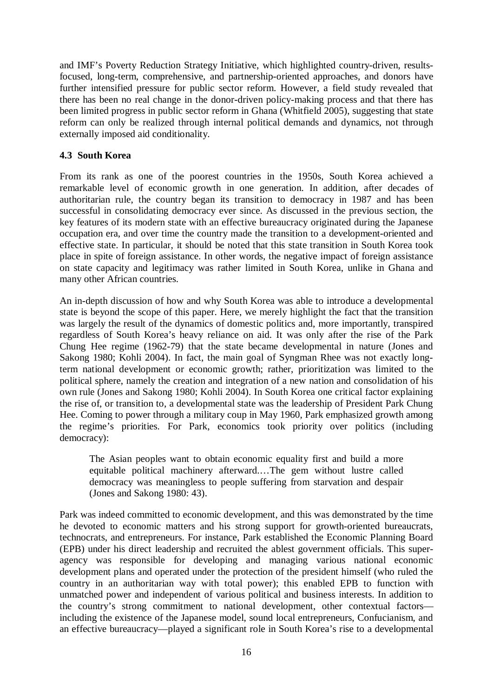and IMF's Poverty Reduction Strategy Initiative, which highlighted country-driven, resultsfocused, long-term, comprehensive, and partnership-oriented approaches, and donors have further intensified pressure for public sector reform. However, a field study revealed that there has been no real change in the donor-driven policy-making process and that there has been limited progress in public sector reform in Ghana (Whitfield 2005), suggesting that state reform can only be realized through internal political demands and dynamics, not through externally imposed aid conditionality.

## **4.3 South Korea**

From its rank as one of the poorest countries in the 1950s, South Korea achieved a remarkable level of economic growth in one generation. In addition, after decades of authoritarian rule, the country began its transition to democracy in 1987 and has been successful in consolidating democracy ever since. As discussed in the previous section, the key features of its modern state with an effective bureaucracy originated during the Japanese occupation era, and over time the country made the transition to a development-oriented and effective state. In particular, it should be noted that this state transition in South Korea took place in spite of foreign assistance. In other words, the negative impact of foreign assistance on state capacity and legitimacy was rather limited in South Korea, unlike in Ghana and many other African countries.

An in-depth discussion of how and why South Korea was able to introduce a developmental state is beyond the scope of this paper. Here, we merely highlight the fact that the transition was largely the result of the dynamics of domestic politics and, more importantly, transpired regardless of South Korea's heavy reliance on aid. It was only after the rise of the Park Chung Hee regime (1962-79) that the state became developmental in nature (Jones and Sakong 1980; Kohli 2004). In fact, the main goal of Syngman Rhee was not exactly longterm national development or economic growth; rather, prioritization was limited to the political sphere, namely the creation and integration of a new nation and consolidation of his own rule (Jones and Sakong 1980; Kohli 2004). In South Korea one critical factor explaining the rise of, or transition to, a developmental state was the leadership of President Park Chung Hee. Coming to power through a military coup in May 1960, Park emphasized growth among the regime's priorities. For Park, economics took priority over politics (including democracy):

The Asian peoples want to obtain economic equality first and build a more equitable political machinery afterward.…The gem without lustre called democracy was meaningless to people suffering from starvation and despair (Jones and Sakong 1980: 43).

Park was indeed committed to economic development, and this was demonstrated by the time he devoted to economic matters and his strong support for growth-oriented bureaucrats, technocrats, and entrepreneurs. For instance, Park established the Economic Planning Board (EPB) under his direct leadership and recruited the ablest government officials. This superagency was responsible for developing and managing various national economic development plans and operated under the protection of the president himself (who ruled the country in an authoritarian way with total power); this enabled EPB to function with unmatched power and independent of various political and business interests. In addition to the country's strong commitment to national development, other contextual factors including the existence of the Japanese model, sound local entrepreneurs, Confucianism, and an effective bureaucracy—played a significant role in South Korea's rise to a developmental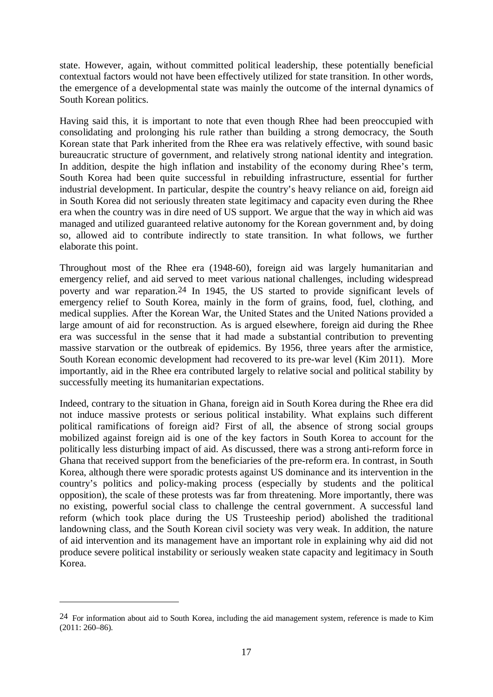state. However, again, without committed political leadership, these potentially beneficial contextual factors would not have been effectively utilized for state transition. In other words, the emergence of a developmental state was mainly the outcome of the internal dynamics of South Korean politics.

Having said this, it is important to note that even though Rhee had been preoccupied with consolidating and prolonging his rule rather than building a strong democracy, the South Korean state that Park inherited from the Rhee era was relatively effective, with sound basic bureaucratic structure of government, and relatively strong national identity and integration. In addition, despite the high inflation and instability of the economy during Rhee's term, South Korea had been quite successful in rebuilding infrastructure, essential for further industrial development. In particular, despite the country's heavy reliance on aid, foreign aid in South Korea did not seriously threaten state legitimacy and capacity even during the Rhee era when the country was in dire need of US support. We argue that the way in which aid was managed and utilized guaranteed relative autonomy for the Korean government and, by doing so, allowed aid to contribute indirectly to state transition. In what follows, we further elaborate this point.

Throughout most of the Rhee era (1948-60), foreign aid was largely humanitarian and emergency relief, and aid served to meet various national challenges, including widespread poverty and war reparation.24 In 1945, the US started to provide significant levels of emergency relief to South Korea, mainly in the form of grains, food, fuel, clothing, and medical supplies. After the Korean War, the United States and the United Nations provided a large amount of aid for reconstruction. As is argued elsewhere, foreign aid during the Rhee era was successful in the sense that it had made a substantial contribution to preventing massive starvation or the outbreak of epidemics. By 1956, three years after the armistice, South Korean economic development had recovered to its pre-war level (Kim 2011). More importantly, aid in the Rhee era contributed largely to relative social and political stability by successfully meeting its humanitarian expectations.

Indeed, contrary to the situation in Ghana, foreign aid in South Korea during the Rhee era did not induce massive protests or serious political instability. What explains such different political ramifications of foreign aid? First of all, the absence of strong social groups mobilized against foreign aid is one of the key factors in South Korea to account for the politically less disturbing impact of aid. As discussed, there was a strong anti-reform force in Ghana that received support from the beneficiaries of the pre-reform era. In contrast, in South Korea, although there were sporadic protests against US dominance and its intervention in the country's politics and policy-making process (especially by students and the political opposition), the scale of these protests was far from threatening. More importantly, there was no existing, powerful social class to challenge the central government. A successful land reform (which took place during the US Trusteeship period) abolished the traditional landowning class, and the South Korean civil society was very weak. In addition, the nature of aid intervention and its management have an important role in explaining why aid did not produce severe political instability or seriously weaken state capacity and legitimacy in South Korea.

<sup>24</sup> For information about aid to South Korea, including the aid management system, reference is made to Kim (2011: 260–86).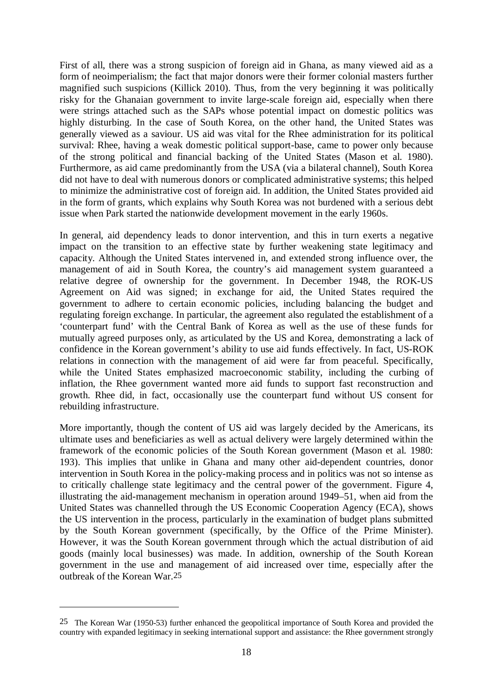First of all, there was a strong suspicion of foreign aid in Ghana, as many viewed aid as a form of neoimperialism; the fact that major donors were their former colonial masters further magnified such suspicions (Killick 2010). Thus, from the very beginning it was politically risky for the Ghanaian government to invite large-scale foreign aid, especially when there were strings attached such as the SAPs whose potential impact on domestic politics was highly disturbing. In the case of South Korea, on the other hand, the United States was generally viewed as a saviour. US aid was vital for the Rhee administration for its political survival: Rhee, having a weak domestic political support-base, came to power only because of the strong political and financial backing of the United States (Mason et al. 1980). Furthermore, as aid came predominantly from the USA (via a bilateral channel), South Korea did not have to deal with numerous donors or complicated administrative systems; this helped to minimize the administrative cost of foreign aid. In addition, the United States provided aid in the form of grants, which explains why South Korea was not burdened with a serious debt issue when Park started the nationwide development movement in the early 1960s.

In general, aid dependency leads to donor intervention, and this in turn exerts a negative impact on the transition to an effective state by further weakening state legitimacy and capacity. Although the United States intervened in, and extended strong influence over, the management of aid in South Korea, the country's aid management system guaranteed a relative degree of ownership for the government. In December 1948, the ROK-US Agreement on Aid was signed; in exchange for aid, the United States required the government to adhere to certain economic policies, including balancing the budget and regulating foreign exchange. In particular, the agreement also regulated the establishment of a 'counterpart fund' with the Central Bank of Korea as well as the use of these funds for mutually agreed purposes only, as articulated by the US and Korea, demonstrating a lack of confidence in the Korean government's ability to use aid funds effectively. In fact, US-ROK relations in connection with the management of aid were far from peaceful. Specifically, while the United States emphasized macroeconomic stability, including the curbing of inflation, the Rhee government wanted more aid funds to support fast reconstruction and growth. Rhee did, in fact, occasionally use the counterpart fund without US consent for rebuilding infrastructure.

More importantly, though the content of US aid was largely decided by the Americans, its ultimate uses and beneficiaries as well as actual delivery were largely determined within the framework of the economic policies of the South Korean government (Mason et al. 1980: 193). This implies that unlike in Ghana and many other aid-dependent countries, donor intervention in South Korea in the policy-making process and in politics was not so intense as to critically challenge state legitimacy and the central power of the government. Figure 4, illustrating the aid-management mechanism in operation around 1949–51, when aid from the United States was channelled through the US Economic Cooperation Agency (ECA), shows the US intervention in the process, particularly in the examination of budget plans submitted by the South Korean government (specifically, by the Office of the Prime Minister). However, it was the South Korean government through which the actual distribution of aid goods (mainly local businesses) was made. In addition, ownership of the South Korean government in the use and management of aid increased over time, especially after the outbreak of the Korean War.25

<sup>25</sup> The Korean War (1950-53) further enhanced the geopolitical importance of South Korea and provided the country with expanded legitimacy in seeking international support and assistance: the Rhee government strongly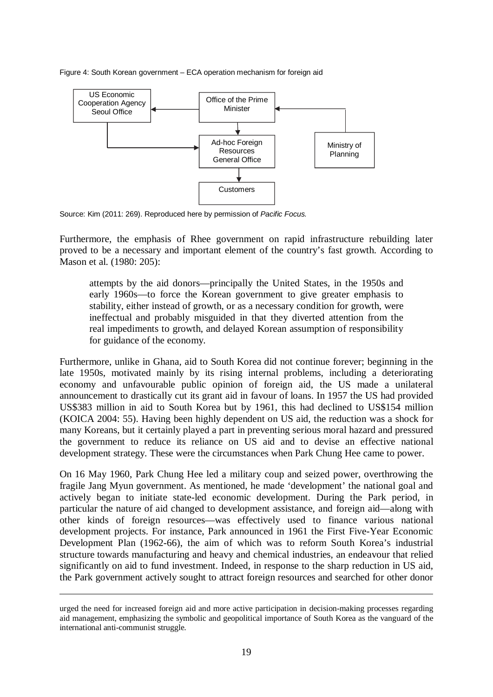Figure 4: South Korean government – ECA operation mechanism for foreign aid



Source: Kim (2011: 269). Reproduced here by permission of *Pacific Focus.*

Furthermore, the emphasis of Rhee government on rapid infrastructure rebuilding later proved to be a necessary and important element of the country's fast growth. According to Mason et al. (1980: 205):

attempts by the aid donors—principally the United States, in the 1950s and early 1960s—to force the Korean government to give greater emphasis to stability, either instead of growth, or as a necessary condition for growth, were ineffectual and probably misguided in that they diverted attention from the real impediments to growth, and delayed Korean assumption of responsibility for guidance of the economy.

Furthermore, unlike in Ghana, aid to South Korea did not continue forever; beginning in the late 1950s, motivated mainly by its rising internal problems, including a deteriorating economy and unfavourable public opinion of foreign aid, the US made a unilateral announcement to drastically cut its grant aid in favour of loans. In 1957 the US had provided US\$383 million in aid to South Korea but by 1961, this had declined to US\$154 million (KOICA 2004: 55). Having been highly dependent on US aid, the reduction was a shock for many Koreans, but it certainly played a part in preventing serious moral hazard and pressured the government to reduce its reliance on US aid and to devise an effective national development strategy. These were the circumstances when Park Chung Hee came to power.

On 16 May 1960, Park Chung Hee led a military coup and seized power, overthrowing the fragile Jang Myun government. As mentioned, he made 'development' the national goal and actively began to initiate state-led economic development. During the Park period, in particular the nature of aid changed to development assistance, and foreign aid—along with other kinds of foreign resources—was effectively used to finance various national development projects. For instance, Park announced in 1961 the First Five-Year Economic Development Plan (1962-66), the aim of which was to reform South Korea's industrial structure towards manufacturing and heavy and chemical industries, an endeavour that relied significantly on aid to fund investment. Indeed, in response to the sharp reduction in US aid, the Park government actively sought to attract foreign resources and searched for other donor

<u>.</u>

urged the need for increased foreign aid and more active participation in decision-making processes regarding aid management, emphasizing the symbolic and geopolitical importance of South Korea as the vanguard of the international anti-communist struggle.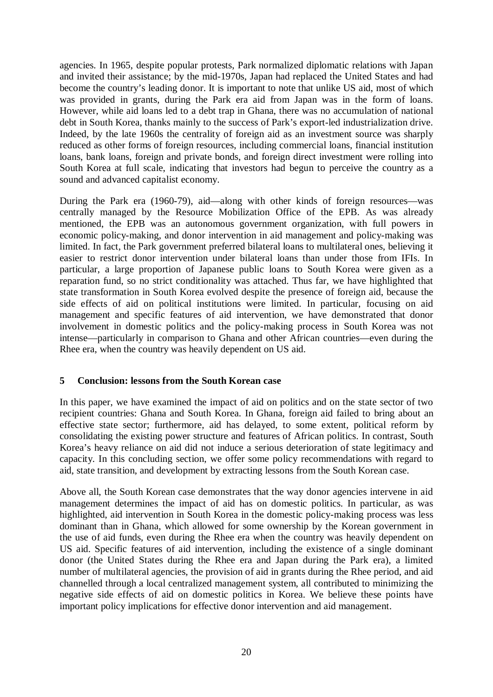agencies. In 1965, despite popular protests, Park normalized diplomatic relations with Japan and invited their assistance; by the mid-1970s, Japan had replaced the United States and had become the country's leading donor. It is important to note that unlike US aid, most of which was provided in grants, during the Park era aid from Japan was in the form of loans. However, while aid loans led to a debt trap in Ghana, there was no accumulation of national debt in South Korea, thanks mainly to the success of Park's export-led industrialization drive. Indeed, by the late 1960s the centrality of foreign aid as an investment source was sharply reduced as other forms of foreign resources, including commercial loans, financial institution loans, bank loans, foreign and private bonds, and foreign direct investment were rolling into South Korea at full scale, indicating that investors had begun to perceive the country as a sound and advanced capitalist economy.

During the Park era (1960-79), aid—along with other kinds of foreign resources—was centrally managed by the Resource Mobilization Office of the EPB. As was already mentioned, the EPB was an autonomous government organization, with full powers in economic policy-making, and donor intervention in aid management and policy-making was limited. In fact, the Park government preferred bilateral loans to multilateral ones, believing it easier to restrict donor intervention under bilateral loans than under those from IFIs. In particular, a large proportion of Japanese public loans to South Korea were given as a reparation fund, so no strict conditionality was attached. Thus far, we have highlighted that state transformation in South Korea evolved despite the presence of foreign aid, because the side effects of aid on political institutions were limited. In particular, focusing on aid management and specific features of aid intervention, we have demonstrated that donor involvement in domestic politics and the policy-making process in South Korea was not intense—particularly in comparison to Ghana and other African countries—even during the Rhee era, when the country was heavily dependent on US aid.

### **5 Conclusion: lessons from the South Korean case**

In this paper, we have examined the impact of aid on politics and on the state sector of two recipient countries: Ghana and South Korea. In Ghana, foreign aid failed to bring about an effective state sector; furthermore, aid has delayed, to some extent, political reform by consolidating the existing power structure and features of African politics. In contrast, South Korea's heavy reliance on aid did not induce a serious deterioration of state legitimacy and capacity. In this concluding section, we offer some policy recommendations with regard to aid, state transition, and development by extracting lessons from the South Korean case.

Above all, the South Korean case demonstrates that the way donor agencies intervene in aid management determines the impact of aid has on domestic politics. In particular, as was highlighted, aid intervention in South Korea in the domestic policy-making process was less dominant than in Ghana, which allowed for some ownership by the Korean government in the use of aid funds, even during the Rhee era when the country was heavily dependent on US aid. Specific features of aid intervention, including the existence of a single dominant donor (the United States during the Rhee era and Japan during the Park era), a limited number of multilateral agencies, the provision of aid in grants during the Rhee period, and aid channelled through a local centralized management system, all contributed to minimizing the negative side effects of aid on domestic politics in Korea. We believe these points have important policy implications for effective donor intervention and aid management.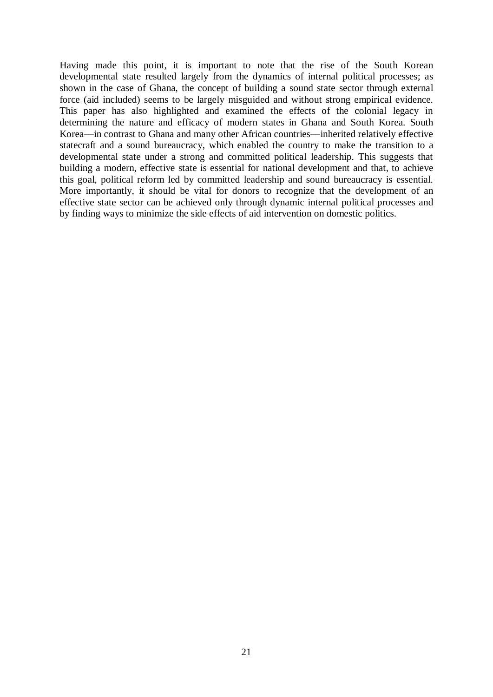Having made this point, it is important to note that the rise of the South Korean developmental state resulted largely from the dynamics of internal political processes; as shown in the case of Ghana, the concept of building a sound state sector through external force (aid included) seems to be largely misguided and without strong empirical evidence. This paper has also highlighted and examined the effects of the colonial legacy in determining the nature and efficacy of modern states in Ghana and South Korea. South Korea––in contrast to Ghana and many other African countries––inherited relatively effective statecraft and a sound bureaucracy, which enabled the country to make the transition to a developmental state under a strong and committed political leadership. This suggests that building a modern, effective state is essential for national development and that, to achieve this goal, political reform led by committed leadership and sound bureaucracy is essential. More importantly, it should be vital for donors to recognize that the development of an effective state sector can be achieved only through dynamic internal political processes and by finding ways to minimize the side effects of aid intervention on domestic politics.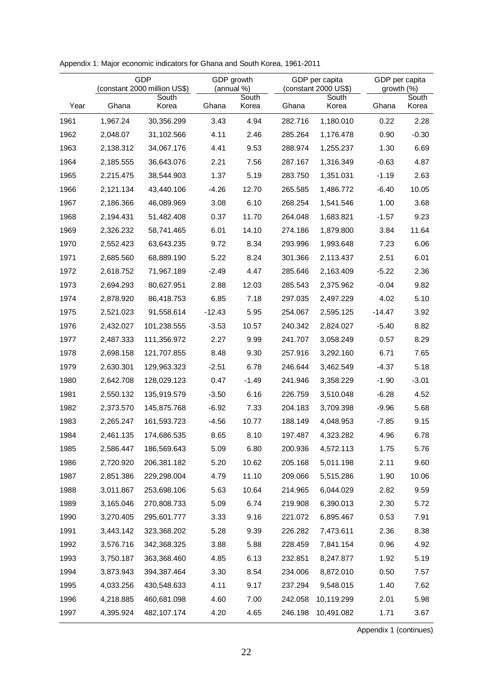|      | <b>GDP</b><br>(constant 2000 million US\$) |             | GDP growth<br>(annual %) |         |         | GDP per capita<br>(constant 2000 US\$) | GDP per capita<br>growth (%) |         |  |
|------|--------------------------------------------|-------------|--------------------------|---------|---------|----------------------------------------|------------------------------|---------|--|
|      |                                            | South       |                          | South   |         | South                                  |                              | South   |  |
| Year | Ghana                                      | Korea       | Ghana                    | Korea   | Ghana   | Korea                                  | Ghana                        | Korea   |  |
| 1961 | 1,967.24                                   | 30,356.299  | 3.43                     | 4.94    | 282.716 | 1,180.010                              | 0.22                         | 2.28    |  |
| 1962 | 2,048.07                                   | 31,102.566  | 4.11                     | 2.46    | 285.264 | 1,176.478                              | 0.90                         | $-0.30$ |  |
| 1963 | 2,138.312                                  | 34,067.176  | 4.41                     | 9.53    | 288.974 | 1,255.237                              | 1.30                         | 6.69    |  |
| 1964 | 2,185.555                                  | 36,643.076  | 2.21                     | 7.56    | 287.167 | 1,316.349                              | $-0.63$                      | 4.87    |  |
| 1965 | 2,215.475                                  | 38,544.903  | 1.37                     | 5.19    | 283.750 | 1,351.031                              | $-1.19$                      | 2.63    |  |
| 1966 | 2,121.134                                  | 43,440.106  | $-4.26$                  | 12.70   | 265.585 | 1,486.772                              | $-6.40$                      | 10.05   |  |
| 1967 | 2,186.366                                  | 46,089.969  | 3.08                     | 6.10    | 268.254 | 1,541.546                              | 1.00                         | 3.68    |  |
| 1968 | 2,194.431                                  | 51,482.408  | 0.37                     | 11.70   | 264.048 | 1,683.821                              | $-1.57$                      | 9.23    |  |
| 1969 | 2,326.232                                  | 58,741.465  | 6.01                     | 14.10   | 274.186 | 1,879.800                              | 3.84                         | 11.64   |  |
| 1970 | 2,552.423                                  | 63,643.235  | 9.72                     | 8.34    | 293.996 | 1,993.648                              | 7.23                         | 6.06    |  |
| 1971 | 2,685.560                                  | 68,889.190  | 5.22                     | 8.24    | 301.366 | 2,113.437                              | 2.51                         | 6.01    |  |
| 1972 | 2,618.752                                  | 71,967.189  | $-2.49$                  | 4.47    | 285.646 | 2,163.409                              | $-5.22$                      | 2.36    |  |
| 1973 | 2,694.293                                  | 80,627.951  | 2.88                     | 12.03   | 285.543 | 2,375.962                              | $-0.04$                      | 9.82    |  |
| 1974 | 2,878.920                                  | 86,418.753  | 6.85                     | 7.18    | 297.035 | 2,497.229                              | 4.02                         | 5.10    |  |
| 1975 | 2,521.023                                  | 91,558.614  | $-12.43$                 | 5.95    | 254.067 | 2,595.125                              | $-14.47$                     | 3.92    |  |
| 1976 | 2,432.027                                  | 101,238.555 | $-3.53$                  | 10.57   | 240.342 | 2,824.027                              | $-5.40$                      | 8.82    |  |
| 1977 | 2,487.333                                  | 111,356.972 | 2.27                     | 9.99    | 241.707 | 3,058.249                              | 0.57                         | 8.29    |  |
| 1978 | 2,698.158                                  | 121,707.855 | 8.48                     | 9.30    | 257.916 | 3,292.160                              | 6.71                         | 7.65    |  |
| 1979 | 2,630.301                                  | 129,963.323 | $-2.51$                  | 6.78    | 246.644 | 3,462.549                              | $-4.37$                      | 5.18    |  |
| 1980 | 2,642.708                                  | 128,029.123 | 0.47                     | $-1.49$ | 241.946 | 3,358.229                              | $-1.90$                      | $-3.01$ |  |
| 1981 | 2,550.132                                  | 135,919.579 | $-3.50$                  | 6.16    | 226.759 | 3,510.048                              | $-6.28$                      | 4.52    |  |
| 1982 | 2,373.570                                  | 145,875.768 | $-6.92$                  | 7.33    | 204.183 | 3,709.398                              | $-9.96$                      | 5.68    |  |
| 1983 | 2,265.247                                  | 161,593.723 | $-4.56$                  | 10.77   | 188.149 | 4,048.953                              | $-7.85$                      | 9.15    |  |
| 1984 | 2,461.135                                  | 174,686.535 | 8.65                     | 8.10    | 197.487 | 4,323.282                              | 4.96                         | 6.78    |  |
| 1985 | 2,586.447                                  | 186,569.643 | 5.09                     | 6.80    | 200.936 | 4,572.113                              | 1.75                         | 5.76    |  |
| 1986 | 2,720.920                                  | 206,381.182 | 5.20                     | 10.62   | 205.168 | 5,011.198                              | 2.11                         | 9.60    |  |
| 1987 | 2,851.386                                  | 229,298.004 | 4.79                     | 11.10   | 209.066 | 5,515.286                              | 1.90                         | 10.06   |  |
| 1988 | 3,011.867                                  | 253,698.106 | 5.63                     | 10.64   | 214.965 | 6,044.029                              | 2.82                         | 9.59    |  |
| 1989 | 3,165.046                                  | 270,808.733 | 5.09                     | 6.74    | 219.908 | 6,390.013                              | 2.30                         | 5.72    |  |
| 1990 | 3,270.405                                  | 295,601.777 | 3.33                     | 9.16    | 221.072 | 6,895.467                              | 0.53                         | 7.91    |  |
| 1991 | 3,443.142                                  | 323,368.202 | 5.28                     | 9.39    | 226.282 | 7,473.611                              | 2.36                         | 8.38    |  |
| 1992 | 3,576.716                                  | 342,368.325 | 3.88                     | 5.88    | 228.459 | 7,841.154                              | 0.96                         | 4.92    |  |
| 1993 | 3,750.187                                  | 363,368.460 | 4.85                     | 6.13    | 232.851 | 8,247.877                              | 1.92                         | 5.19    |  |
| 1994 | 3,873.943                                  | 394,387.464 | 3.30                     | 8.54    | 234.006 | 8,872.010                              | 0.50                         | 7.57    |  |
| 1995 | 4,033.256                                  | 430,548.633 | 4.11                     | 9.17    | 237.294 | 9,548.015                              | 1.40                         | 7.62    |  |
| 1996 | 4,218.885                                  | 460,681.098 | 4.60                     | 7.00    | 242.058 | 10,119.299                             | 2.01                         | 5.98    |  |
| 1997 | 4,395.924                                  | 482,107.174 | 4.20                     | 4.65    | 246.198 | 10,491.082                             | 1.71                         | 3.67    |  |

Appendix 1: Major economic indicators for Ghana and South Korea, 1961-2011

Appendix 1 (continues)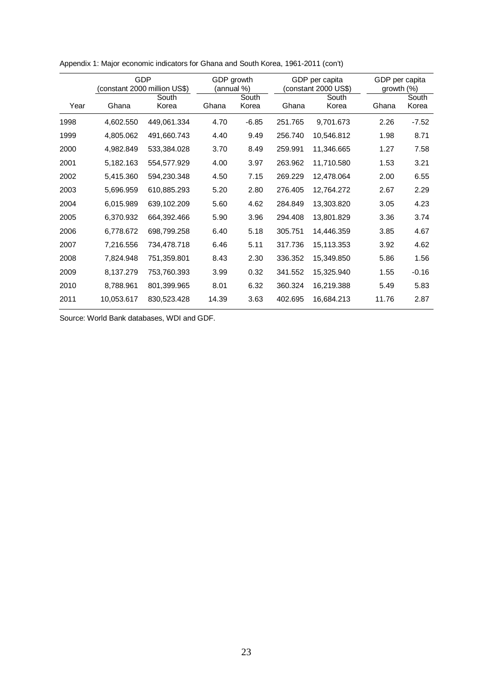|      |            | <b>GDP</b><br>GDP growth<br>(constant 2000 million US\$)<br>(annual %) |       |                | GDP per capita<br>(constant 2000 US\$) |                | GDP per capita<br>growth $(\%)$ |                |
|------|------------|------------------------------------------------------------------------|-------|----------------|----------------------------------------|----------------|---------------------------------|----------------|
| Year | Ghana      | South<br>Korea                                                         | Ghana | South<br>Korea | Ghana                                  | South<br>Korea | Ghana                           | South<br>Korea |
| 1998 | 4,602.550  | 449,061.334                                                            | 4.70  | $-6.85$        | 251.765                                | 9,701.673      | 2.26                            | $-7.52$        |
| 1999 | 4,805.062  | 491,660.743                                                            | 4.40  | 9.49           | 256.740                                | 10,546.812     | 1.98                            | 8.71           |
| 2000 | 4,982.849  | 533,384.028                                                            | 3.70  | 8.49           | 259.991                                | 11,346.665     | 1.27                            | 7.58           |
| 2001 | 5,182.163  | 554,577.929                                                            | 4.00  | 3.97           | 263.962                                | 11,710.580     | 1.53                            | 3.21           |
| 2002 | 5,415.360  | 594,230.348                                                            | 4.50  | 7.15           | 269.229                                | 12,478.064     | 2.00                            | 6.55           |
| 2003 | 5,696.959  | 610,885.293                                                            | 5.20  | 2.80           | 276.405                                | 12,764.272     | 2.67                            | 2.29           |
| 2004 | 6,015.989  | 639,102.209                                                            | 5.60  | 4.62           | 284.849                                | 13,303.820     | 3.05                            | 4.23           |
| 2005 | 6,370.932  | 664,392.466                                                            | 5.90  | 3.96           | 294.408                                | 13,801.829     | 3.36                            | 3.74           |
| 2006 | 6,778.672  | 698,799.258                                                            | 6.40  | 5.18           | 305.751                                | 14,446.359     | 3.85                            | 4.67           |
| 2007 | 7,216.556  | 734,478.718                                                            | 6.46  | 5.11           | 317.736                                | 15,113.353     | 3.92                            | 4.62           |
| 2008 | 7,824.948  | 751,359.801                                                            | 8.43  | 2.30           | 336.352                                | 15,349.850     | 5.86                            | 1.56           |
| 2009 | 8,137.279  | 753,760.393                                                            | 3.99  | 0.32           | 341.552                                | 15,325.940     | 1.55                            | $-0.16$        |
| 2010 | 8,788.961  | 801,399.965                                                            | 8.01  | 6.32           | 360.324                                | 16,219.388     | 5.49                            | 5.83           |
| 2011 | 10,053.617 | 830,523.428                                                            | 14.39 | 3.63           | 402.695                                | 16,684.213     | 11.76                           | 2.87           |

Appendix 1: Major economic indicators for Ghana and South Korea, 1961-2011 (con't)

Source: World Bank databases, WDI and GDF.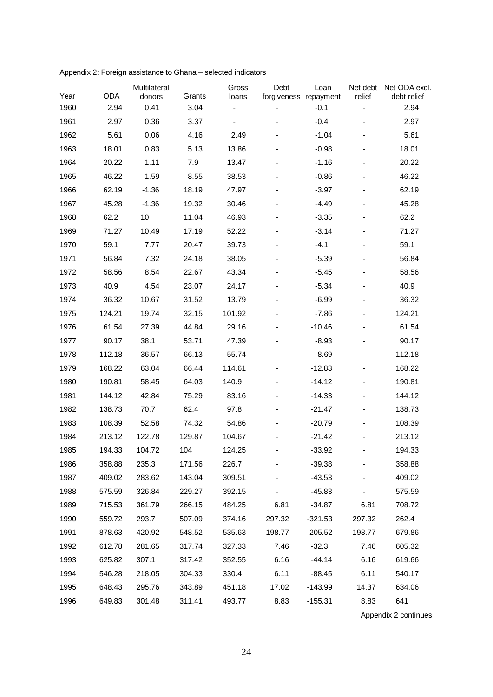| Year | <b>ODA</b> | Multilateral<br>donors | Grants | Gross<br>loans           | Debt<br>forgiveness repayment | Loan      | Net debt<br>relief       | Net ODA excl.<br>debt relief |
|------|------------|------------------------|--------|--------------------------|-------------------------------|-----------|--------------------------|------------------------------|
| 1960 | 2.94       | 0.41                   | 3.04   | $\overline{\phantom{0}}$ |                               | $-0.1$    | $\overline{\phantom{0}}$ | 2.94                         |
| 1961 | 2.97       | 0.36                   | 3.37   |                          |                               | $-0.4$    |                          | 2.97                         |
| 1962 | 5.61       | 0.06                   | 4.16   | 2.49                     |                               | $-1.04$   |                          | 5.61                         |
| 1963 | 18.01      | 0.83                   | 5.13   | 13.86                    |                               | $-0.98$   |                          | 18.01                        |
| 1964 | 20.22      | 1.11                   | 7.9    | 13.47                    |                               | $-1.16$   |                          | 20.22                        |
| 1965 | 46.22      | 1.59                   | 8.55   | 38.53                    |                               | $-0.86$   |                          | 46.22                        |
| 1966 | 62.19      | $-1.36$                | 18.19  | 47.97                    |                               | $-3.97$   |                          | 62.19                        |
| 1967 | 45.28      | $-1.36$                | 19.32  | 30.46                    |                               | $-4.49$   |                          | 45.28                        |
| 1968 | 62.2       | 10                     | 11.04  | 46.93                    |                               | $-3.35$   |                          | 62.2                         |
| 1969 | 71.27      | 10.49                  | 17.19  | 52.22                    |                               | $-3.14$   |                          | 71.27                        |
| 1970 | 59.1       | 7.77                   | 20.47  | 39.73                    |                               | $-4.1$    |                          | 59.1                         |
| 1971 | 56.84      | 7.32                   | 24.18  | 38.05                    |                               | $-5.39$   |                          | 56.84                        |
| 1972 | 58.56      | 8.54                   | 22.67  | 43.34                    |                               | $-5.45$   |                          | 58.56                        |
| 1973 | 40.9       | 4.54                   | 23.07  | 24.17                    |                               | $-5.34$   |                          | 40.9                         |
| 1974 | 36.32      | 10.67                  | 31.52  | 13.79                    |                               | $-6.99$   |                          | 36.32                        |
| 1975 | 124.21     | 19.74                  | 32.15  | 101.92                   |                               | $-7.86$   |                          | 124.21                       |
| 1976 | 61.54      | 27.39                  | 44.84  | 29.16                    |                               | $-10.46$  |                          | 61.54                        |
| 1977 | 90.17      | 38.1                   | 53.71  | 47.39                    |                               | $-8.93$   |                          | 90.17                        |
| 1978 | 112.18     | 36.57                  | 66.13  | 55.74                    |                               | $-8.69$   |                          | 112.18                       |
| 1979 | 168.22     | 63.04                  | 66.44  | 114.61                   |                               | $-12.83$  |                          | 168.22                       |
| 1980 | 190.81     | 58.45                  | 64.03  | 140.9                    |                               | $-14.12$  |                          | 190.81                       |
| 1981 | 144.12     | 42.84                  | 75.29  | 83.16                    |                               | $-14.33$  |                          | 144.12                       |
| 1982 | 138.73     | 70.7                   | 62.4   | 97.8                     |                               | $-21.47$  |                          | 138.73                       |
| 1983 | 108.39     | 52.58                  | 74.32  | 54.86                    |                               | $-20.79$  |                          | 108.39                       |
| 1984 | 213.12     | 122.78                 | 129.87 | 104.67                   |                               | $-21.42$  |                          | 213.12                       |
| 1985 | 194.33     | 104.72                 | 104    | 124.25                   |                               | $-33.92$  |                          | 194.33                       |
| 1986 | 358.88     | 235.3                  | 171.56 | 226.7                    |                               | $-39.38$  |                          | 358.88                       |
| 1987 | 409.02     | 283.62                 | 143.04 | 309.51                   |                               | $-43.53$  |                          | 409.02                       |
| 1988 | 575.59     | 326.84                 | 229.27 | 392.15                   |                               | $-45.83$  |                          | 575.59                       |
| 1989 | 715.53     | 361.79                 | 266.15 | 484.25                   | 6.81                          | -34.87    | 6.81                     | 708.72                       |
| 1990 | 559.72     | 293.7                  | 507.09 | 374.16                   | 297.32                        | $-321.53$ | 297.32                   | 262.4                        |
| 1991 | 878.63     | 420.92                 | 548.52 | 535.63                   | 198.77                        | $-205.52$ | 198.77                   | 679.86                       |
| 1992 | 612.78     | 281.65                 | 317.74 | 327.33                   | 7.46                          | $-32.3$   | 7.46                     | 605.32                       |
| 1993 | 625.82     | 307.1                  | 317.42 | 352.55                   | 6.16                          | $-44.14$  | 6.16                     | 619.66                       |
| 1994 | 546.28     | 218.05                 | 304.33 | 330.4                    | 6.11                          | -88.45    | 6.11                     | 540.17                       |
| 1995 | 648.43     | 295.76                 | 343.89 | 451.18                   | 17.02                         | $-143.99$ | 14.37                    | 634.06                       |
| 1996 | 649.83     | 301.48                 | 311.41 | 493.77                   | 8.83                          | -155.31   | 8.83                     | 641                          |

Appendix 2: Foreign assistance to Ghana – selected indicators

Appendix 2 continues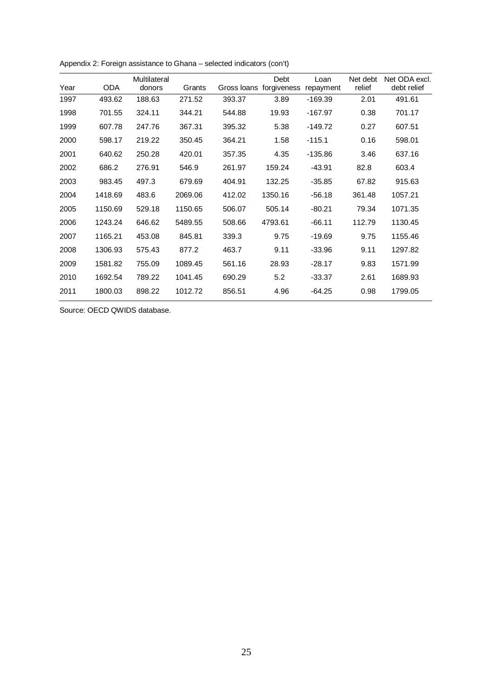|      |            | Multilateral |         |             | Debt        | Loan      | Net debt | Net ODA excl. |
|------|------------|--------------|---------|-------------|-------------|-----------|----------|---------------|
| Year | <b>ODA</b> | donors       | Grants  | Gross Ioans | forgiveness | repayment | relief   | debt relief   |
| 1997 | 493.62     | 188.63       | 271.52  | 393.37      | 3.89        | $-169.39$ | 2.01     | 491.61        |
| 1998 | 701.55     | 324.11       | 344.21  | 544.88      | 19.93       | $-167.97$ | 0.38     | 701.17        |
| 1999 | 607.78     | 247.76       | 367.31  | 395.32      | 5.38        | $-149.72$ | 0.27     | 607.51        |
| 2000 | 598.17     | 219.22       | 350.45  | 364.21      | 1.58        | $-115.1$  | 0.16     | 598.01        |
| 2001 | 640.62     | 250.28       | 420.01  | 357.35      | 4.35        | $-135.86$ | 3.46     | 637.16        |
| 2002 | 686.2      | 276.91       | 546.9   | 261.97      | 159.24      | $-43.91$  | 82.8     | 603.4         |
| 2003 | 983.45     | 497.3        | 679.69  | 404.91      | 132.25      | $-35.85$  | 67.82    | 915.63        |
| 2004 | 1418.69    | 483.6        | 2069.06 | 412.02      | 1350.16     | $-56.18$  | 361.48   | 1057.21       |
| 2005 | 1150.69    | 529.18       | 1150.65 | 506.07      | 505.14      | $-80.21$  | 79.34    | 1071.35       |
| 2006 | 1243.24    | 646.62       | 5489.55 | 508.66      | 4793.61     | $-66.11$  | 112.79   | 1130.45       |
| 2007 | 1165.21    | 453.08       | 845.81  | 339.3       | 9.75        | $-19.69$  | 9.75     | 1155.46       |
| 2008 | 1306.93    | 575.43       | 877.2   | 463.7       | 9.11        | $-33.96$  | 9.11     | 1297.82       |
| 2009 | 1581.82    | 755.09       | 1089.45 | 561.16      | 28.93       | $-28.17$  | 9.83     | 1571.99       |
| 2010 | 1692.54    | 789.22       | 1041.45 | 690.29      | 5.2         | $-33.37$  | 2.61     | 1689.93       |
| 2011 | 1800.03    | 898.22       | 1012.72 | 856.51      | 4.96        | $-64.25$  | 0.98     | 1799.05       |

Appendix 2: Foreign assistance to Ghana – selected indicators (con't)

Source: OECD QWIDS database.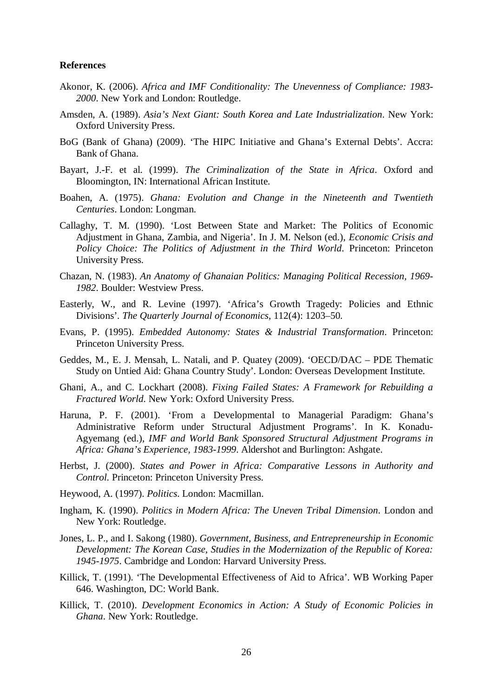#### **References**

- Akonor, K. (2006). *Africa and IMF Conditionality: The Unevenness of Compliance: 1983- 2000*. New York and London: Routledge.
- Amsden, A. (1989). *Asia's Next Giant: South Korea and Late Industrialization*. New York: Oxford University Press.
- BoG (Bank of Ghana) (2009). 'The HIPC Initiative and Ghana's External Debts'. Accra: Bank of Ghana.
- Bayart, J.-F. et al. (1999). *The Criminalization of the State in Africa*. Oxford and Bloomington, IN: International African Institute.
- Boahen, A. (1975). *Ghana: Evolution and Change in the Nineteenth and Twentieth Centuries*. London: Longman.
- Callaghy, T. M. (1990). 'Lost Between State and Market: The Politics of Economic Adjustment in Ghana, Zambia, and Nigeria'. In J. M. Nelson (ed.), *Economic Crisis and Policy Choice: The Politics of Adjustment in the Third World*. Princeton: Princeton University Press.
- Chazan, N. (1983). *An Anatomy of Ghanaian Politics: Managing Political Recession, 1969- 1982*. Boulder: Westview Press.
- Easterly, W., and R. Levine (1997). 'Africa's Growth Tragedy: Policies and Ethnic Divisions'. *The Quarterly Journal of Economics*, 112(4): 1203–50.
- Evans, P. (1995). *Embedded Autonomy: States & Industrial Transformation*. Princeton: Princeton University Press.
- Geddes, M., E. J. Mensah, L. Natali, and P. Quatey (2009). 'OECD/DAC PDE Thematic Study on Untied Aid: Ghana Country Study'. London: Overseas Development Institute.
- Ghani, A., and C. Lockhart (2008). *Fixing Failed States: A Framework for Rebuilding a Fractured World*. New York: Oxford University Press.
- Haruna, P. F. (2001). 'From a Developmental to Managerial Paradigm: Ghana's Administrative Reform under Structural Adjustment Programs'. In K. Konadu-Agyemang (ed.), *IMF and World Bank Sponsored Structural Adjustment Programs in Africa: Ghana's Experience, 1983-1999*. Aldershot and Burlington: Ashgate.
- Herbst, J. (2000). *States and Power in Africa: Comparative Lessons in Authority and Control.* Princeton: Princeton University Press.
- Heywood, A. (1997). *Politics*. London: Macmillan.
- Ingham, K. (1990). *Politics in Modern Africa: The Uneven Tribal Dimension*. London and New York: Routledge.
- Jones, L. P., and I. Sakong (1980). *Government, Business, and Entrepreneurship in Economic Development: The Korean Case, Studies in the Modernization of the Republic of Korea: 1945-1975*. Cambridge and London: Harvard University Press.
- Killick, T. (1991). 'The Developmental Effectiveness of Aid to Africa'. WB Working Paper 646. Washington, DC: World Bank.
- Killick, T. (2010). *Development Economics in Action: A Study of Economic Policies in Ghana*. New York: Routledge.